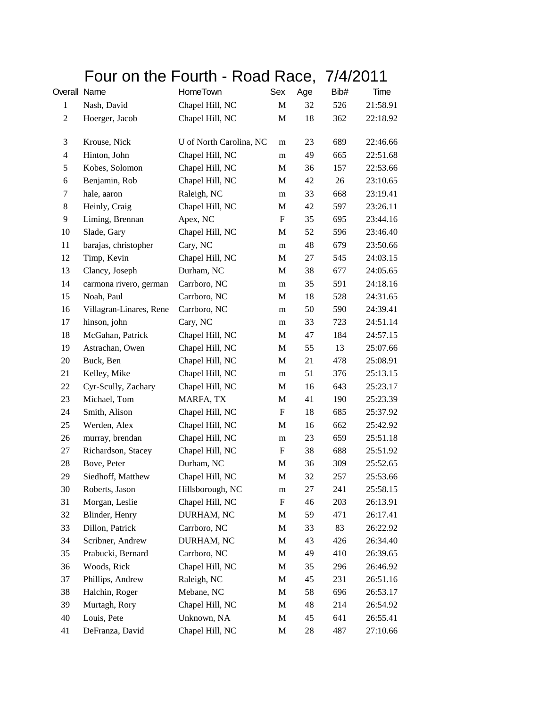## Four on the Fourth - Road Race, 7/4/2011

| Overall Name   |                         | HomeTown                | Sex         | Age | Bib# | Time     |
|----------------|-------------------------|-------------------------|-------------|-----|------|----------|
| $\mathbf{1}$   | Nash, David             | Chapel Hill, NC         | M           | 32  | 526  | 21:58.91 |
| $\overline{c}$ | Hoerger, Jacob          | Chapel Hill, NC         | M           | 18  | 362  | 22:18.92 |
| 3              | Krouse, Nick            | U of North Carolina, NC | m           | 23  | 689  | 22:46.66 |
| 4              | Hinton, John            | Chapel Hill, NC         | m           | 49  | 665  | 22:51.68 |
| 5              | Kobes, Solomon          | Chapel Hill, NC         | M           | 36  | 157  | 22:53.66 |
| 6              | Benjamin, Rob           | Chapel Hill, NC         | М           | 42  | 26   | 23:10.65 |
| 7              | hale, aaron             | Raleigh, NC             | m           | 33  | 668  | 23:19.41 |
| 8              | Heinly, Craig           | Chapel Hill, NC         | M           | 42  | 597  | 23:26.11 |
| 9              | Liming, Brennan         | Apex, NC                | F           | 35  | 695  | 23:44.16 |
| 10             | Slade, Gary             | Chapel Hill, NC         | M           | 52  | 596  | 23:46.40 |
| 11             | barajas, christopher    | Cary, NC                | m           | 48  | 679  | 23:50.66 |
| 12             | Timp, Kevin             | Chapel Hill, NC         | M           | 27  | 545  | 24:03.15 |
| 13             | Clancy, Joseph          | Durham, NC              | M           | 38  | 677  | 24:05.65 |
| 14             | carmona rivero, german  | Carrboro, NC            | m           | 35  | 591  | 24:18.16 |
| 15             | Noah, Paul              | Carrboro, NC            | M           | 18  | 528  | 24:31.65 |
| 16             | Villagran-Linares, Rene | Carrboro, NC            | m           | 50  | 590  | 24:39.41 |
| 17             | hinson, john            | Cary, NC                | m           | 33  | 723  | 24:51.14 |
| 18             | McGahan, Patrick        | Chapel Hill, NC         | M           | 47  | 184  | 24:57.15 |
| 19             | Astrachan, Owen         | Chapel Hill, NC         | M           | 55  | 13   | 25:07.66 |
| 20             | Buck, Ben               | Chapel Hill, NC         | M           | 21  | 478  | 25:08.91 |
| 21             | Kelley, Mike            | Chapel Hill, NC         | m           | 51  | 376  | 25:13.15 |
| 22             | Cyr-Scully, Zachary     | Chapel Hill, NC         | M           | 16  | 643  | 25:23.17 |
| 23             | Michael, Tom            | MARFA, TX               | M           | 41  | 190  | 25:23.39 |
| 24             | Smith, Alison           | Chapel Hill, NC         | F           | 18  | 685  | 25:37.92 |
| 25             | Werden, Alex            | Chapel Hill, NC         | M           | 16  | 662  | 25:42.92 |
| 26             | murray, brendan         | Chapel Hill, NC         | m           | 23  | 659  | 25:51.18 |
| 27             | Richardson, Stacey      | Chapel Hill, NC         | F           | 38  | 688  | 25:51.92 |
| 28             | Bove, Peter             | Durham, NC              | M           | 36  | 309  | 25:52.65 |
| 29             | Siedhoff, Matthew       | Chapel Hill, NC         | M           | 32  | 257  | 25:53.66 |
| 30             | Roberts, Jason          | Hillsborough, NC        | m           | 27  | 241  | 25:58.15 |
| 31             | Morgan, Leslie          | Chapel Hill, NC         | F           | 46  | 203  | 26:13.91 |
| 32             | Blinder, Henry          | DURHAM, NC              | M           | 59  | 471  | 26:17.41 |
| 33             | Dillon, Patrick         | Carrboro, NC            | M           | 33  | 83   | 26:22.92 |
| 34             | Scribner, Andrew        | DURHAM, NC              | M           | 43  | 426  | 26:34.40 |
| 35             | Prabucki, Bernard       | Carrboro, NC            | M           | 49  | 410  | 26:39.65 |
| 36             | Woods, Rick             | Chapel Hill, NC         | M           | 35  | 296  | 26:46.92 |
| 37             | Phillips, Andrew        | Raleigh, NC             | M           | 45  | 231  | 26:51.16 |
| 38             | Halchin, Roger          | Mebane, NC              | M           | 58  | 696  | 26:53.17 |
| 39             | Murtagh, Rory           | Chapel Hill, NC         | M           | 48  | 214  | 26:54.92 |
| 40             | Louis, Pete             | Unknown, NA             | $\mathbf M$ | 45  | 641  | 26:55.41 |
| 41             | DeFranza, David         | Chapel Hill, NC         | M           | 28  | 487  | 27:10.66 |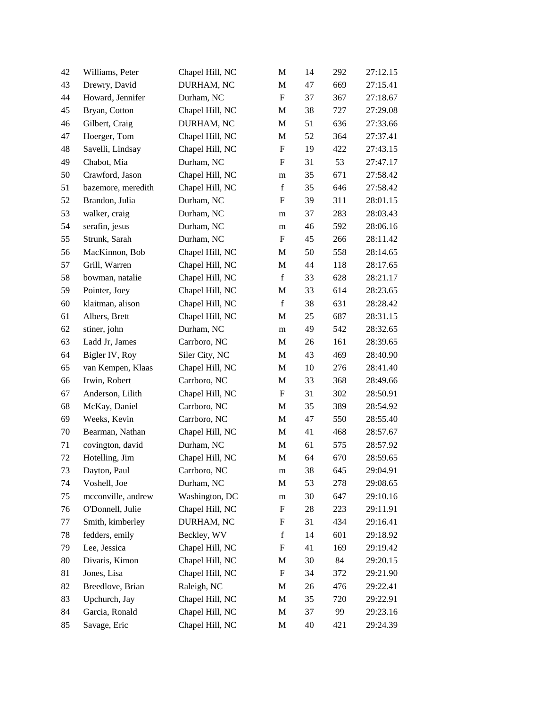| 42 | Williams, Peter    | Chapel Hill, NC | $\mathbf M$               | 14     | 292 | 27:12.15 |
|----|--------------------|-----------------|---------------------------|--------|-----|----------|
| 43 | Drewry, David      | DURHAM, NC      | M                         | 47     | 669 | 27:15.41 |
| 44 | Howard, Jennifer   | Durham, NC      | $\mathbf F$               | 37     | 367 | 27:18.67 |
| 45 | Bryan, Cotton      | Chapel Hill, NC | M                         | 38     | 727 | 27:29.08 |
| 46 | Gilbert, Craig     | DURHAM, NC      | M                         | 51     | 636 | 27:33.66 |
| 47 | Hoerger, Tom       | Chapel Hill, NC | $\mathbf M$               | 52     | 364 | 27:37.41 |
| 48 | Savelli, Lindsay   | Chapel Hill, NC | $\boldsymbol{\mathrm{F}}$ | 19     | 422 | 27:43.15 |
| 49 | Chabot, Mia        | Durham, NC      | $\boldsymbol{\mathrm{F}}$ | 31     | 53  | 27:47.17 |
| 50 | Crawford, Jason    | Chapel Hill, NC | m                         | 35     | 671 | 27:58.42 |
| 51 | bazemore, meredith | Chapel Hill, NC | $\mathbf f$               | 35     | 646 | 27:58.42 |
| 52 | Brandon, Julia     | Durham, NC      | $\boldsymbol{\mathrm{F}}$ | 39     | 311 | 28:01.15 |
| 53 | walker, craig      | Durham, NC      | m                         | 37     | 283 | 28:03.43 |
| 54 | serafin, jesus     | Durham, NC      | m                         | 46     | 592 | 28:06.16 |
| 55 | Strunk, Sarah      | Durham, NC      | F                         | 45     | 266 | 28:11.42 |
| 56 | MacKinnon, Bob     | Chapel Hill, NC | M                         | 50     | 558 | 28:14.65 |
| 57 | Grill, Warren      | Chapel Hill, NC | M                         | 44     | 118 | 28:17.65 |
| 58 | bowman, natalie    | Chapel Hill, NC | $\mathbf f$               | 33     | 628 | 28:21.17 |
| 59 | Pointer, Joey      | Chapel Hill, NC | $\mathbf M$               | 33     | 614 | 28:23.65 |
| 60 | klaitman, alison   | Chapel Hill, NC | $\mathbf f$               | 38     | 631 | 28:28.42 |
| 61 | Albers, Brett      | Chapel Hill, NC | M                         | 25     | 687 | 28:31.15 |
| 62 | stiner, john       | Durham, NC      | m                         | 49     | 542 | 28:32.65 |
| 63 | Ladd Jr, James     | Carrboro, NC    | M                         | 26     | 161 | 28:39.65 |
| 64 | Bigler IV, Roy     | Siler City, NC  | M                         | 43     | 469 | 28:40.90 |
| 65 | van Kempen, Klaas  | Chapel Hill, NC | M                         | 10     | 276 | 28:41.40 |
| 66 | Irwin, Robert      | Carrboro, NC    | M                         | 33     | 368 | 28:49.66 |
| 67 | Anderson, Lilith   | Chapel Hill, NC | $\boldsymbol{\mathrm{F}}$ | 31     | 302 | 28:50.91 |
| 68 | McKay, Daniel      | Carrboro, NC    | M                         | 35     | 389 | 28:54.92 |
| 69 | Weeks, Kevin       | Carrboro, NC    | M                         | 47     | 550 | 28:55.40 |
| 70 | Bearman, Nathan    | Chapel Hill, NC | M                         | $41\,$ | 468 | 28:57.67 |
| 71 | covington, david   | Durham, NC      | M                         | 61     | 575 | 28:57.92 |
| 72 | Hotelling, Jim     | Chapel Hill, NC | M                         | 64     | 670 | 28:59.65 |
| 73 | Dayton, Paul       | Carrboro, NC    | m                         | 38     | 645 | 29:04.91 |
| 74 | Voshell, Joe       | Durham, NC      | M                         | 53     | 278 | 29:08.65 |
| 75 | mcconville, andrew | Washington, DC  | ${\rm m}$                 | 30     | 647 | 29:10.16 |
| 76 | O'Donnell, Julie   | Chapel Hill, NC | F                         | 28     | 223 | 29:11.91 |
| 77 | Smith, kimberley   | DURHAM, NC      | $\boldsymbol{F}$          | 31     | 434 | 29:16.41 |
| 78 | fedders, emily     | Beckley, WV     | $\mathbf f$               | 14     | 601 | 29:18.92 |
| 79 | Lee, Jessica       | Chapel Hill, NC | $\boldsymbol{\mathrm{F}}$ | 41     | 169 | 29:19.42 |
| 80 | Divaris, Kimon     | Chapel Hill, NC | M                         | 30     | 84  | 29:20.15 |
| 81 | Jones, Lisa        | Chapel Hill, NC | F                         | 34     | 372 | 29:21.90 |
| 82 | Breedlove, Brian   | Raleigh, NC     | M                         | 26     | 476 | 29:22.41 |
| 83 | Upchurch, Jay      | Chapel Hill, NC | M                         | 35     | 720 | 29:22.91 |
| 84 | Garcia, Ronald     | Chapel Hill, NC | M                         | 37     | 99  | 29:23.16 |
| 85 | Savage, Eric       | Chapel Hill, NC | M                         | 40     | 421 | 29:24.39 |
|    |                    |                 |                           |        |     |          |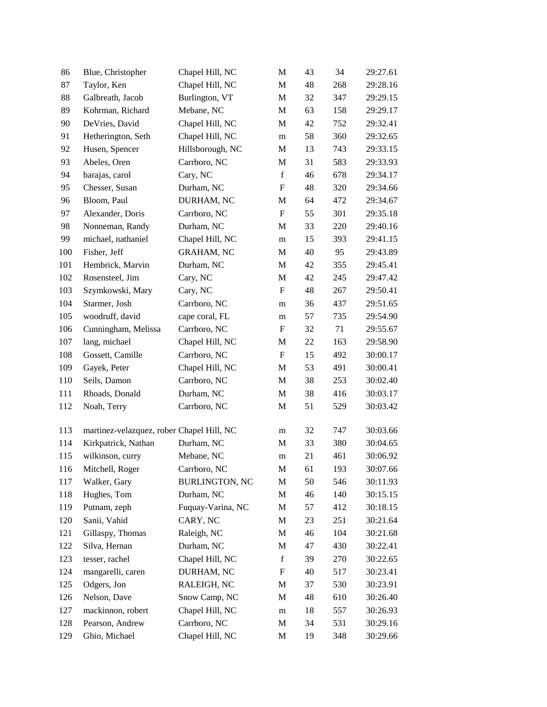| 86  | Blue, Christopher                         | Chapel Hill, NC       | M                         | 43 | 34  | 29:27.61 |
|-----|-------------------------------------------|-----------------------|---------------------------|----|-----|----------|
| 87  | Taylor, Ken                               | Chapel Hill, NC       | M                         | 48 | 268 | 29:28.16 |
| 88  | Galbreath, Jacob                          | Burlington, VT        | M                         | 32 | 347 | 29:29.15 |
| 89  | Kohrman, Richard                          | Mebane, NC            | M                         | 63 | 158 | 29:29.17 |
| 90  | DeVries, David                            | Chapel Hill, NC       | M                         | 42 | 752 | 29:32.41 |
| 91  | Hetherington, Seth                        | Chapel Hill, NC       | m                         | 58 | 360 | 29:32.65 |
| 92  | Husen, Spencer                            | Hillsborough, NC      | M                         | 13 | 743 | 29:33.15 |
| 93  | Abeles, Oren                              | Carrboro, NC          | M                         | 31 | 583 | 29:33.93 |
| 94  | barajas, carol                            | Cary, NC              | $\mathbf f$               | 46 | 678 | 29:34.17 |
| 95  | Chesser, Susan                            | Durham, NC            | $\boldsymbol{\mathrm{F}}$ | 48 | 320 | 29:34.66 |
| 96  | Bloom, Paul                               | DURHAM, NC            | M                         | 64 | 472 | 29:34.67 |
| 97  | Alexander, Doris                          | Carrboro, NC          | $\mathbf F$               | 55 | 301 | 29:35.18 |
| 98  | Nonneman, Randy                           | Durham, NC            | M                         | 33 | 220 | 29:40.16 |
| 99  | michael, nathaniel                        | Chapel Hill, NC       | m                         | 15 | 393 | 29:41.15 |
| 100 | Fisher, Jeff                              | <b>GRAHAM, NC</b>     | M                         | 40 | 95  | 29:43.89 |
| 101 | Hembrick, Marvin                          | Durham, NC            | M                         | 42 | 355 | 29:45.41 |
| 102 | Rosensteel, Jim                           | Cary, NC              | M                         | 42 | 245 | 29:47.42 |
| 103 | Szymkowski, Mary                          | Cary, NC              | $\boldsymbol{\mathrm{F}}$ | 48 | 267 | 29:50.41 |
| 104 | Starmer, Josh                             | Carrboro, NC          | m                         | 36 | 437 | 29:51.65 |
| 105 | woodruff, david                           | cape coral, FL        | m                         | 57 | 735 | 29:54.90 |
| 106 | Cunningham, Melissa                       | Carrboro, NC          | $\boldsymbol{\mathrm{F}}$ | 32 | 71  | 29:55.67 |
| 107 | lang, michael                             | Chapel Hill, NC       | M                         | 22 | 163 | 29:58.90 |
| 108 | Gossett, Camille                          | Carrboro, NC          | $\boldsymbol{\mathrm{F}}$ | 15 | 492 | 30:00.17 |
| 109 | Gayek, Peter                              | Chapel Hill, NC       | M                         | 53 | 491 | 30:00.41 |
| 110 | Seils, Damon                              | Carrboro, NC          | M                         | 38 | 253 | 30:02.40 |
| 111 | Rhoads, Donald                            | Durham, NC            | M                         | 38 | 416 | 30:03.17 |
| 112 | Noah, Terry                               | Carrboro, NC          | M                         | 51 | 529 | 30:03.42 |
| 113 | martinez-velazquez, rober Chapel Hill, NC |                       | m                         | 32 | 747 | 30:03.66 |
| 114 | Kirkpatrick, Nathan                       | Durham, NC            | M                         | 33 | 380 | 30:04.65 |
| 115 | wilkinson, curry                          | Mebane, NC            | m                         | 21 | 461 | 30:06.92 |
| 116 | Mitchell, Roger                           | Carrboro, NC          | M                         | 61 | 193 | 30:07.66 |
| 117 | Walker, Gary                              | <b>BURLINGTON, NC</b> | M                         | 50 | 546 | 30:11.93 |
| 118 | Hughes, Tom                               | Durham, NC            | M                         | 46 | 140 | 30:15.15 |
| 119 | Putnam, zeph                              | Fuquay-Varina, NC     | M                         | 57 | 412 | 30:18.15 |
| 120 | Sanii, Vahid                              | CARY, NC              | M                         | 23 | 251 | 30:21.64 |
| 121 | Gillaspy, Thomas                          | Raleigh, NC           | M                         | 46 | 104 | 30:21.68 |
| 122 | Silva, Hernan                             | Durham, NC            | M                         | 47 | 430 | 30:22.41 |
| 123 | tesser, rachel                            | Chapel Hill, NC       | $\mathbf f$               | 39 | 270 | 30:22.65 |
| 124 | mangarelli, caren                         | DURHAM, NC            | F                         | 40 | 517 | 30:23.41 |
| 125 | Odgers, Jon                               | RALEIGH, NC           | M                         | 37 | 530 | 30:23.91 |
| 126 | Nelson, Dave                              | Snow Camp, NC         | M                         | 48 | 610 | 30:26.40 |
| 127 | mackinnon, robert                         | Chapel Hill, NC       | ${\bf m}$                 | 18 | 557 | 30:26.93 |
| 128 | Pearson, Andrew                           | Carrboro, NC          | M                         | 34 | 531 | 30:29.16 |
| 129 | Ghio, Michael                             | Chapel Hill, NC       | M                         | 19 | 348 | 30:29.66 |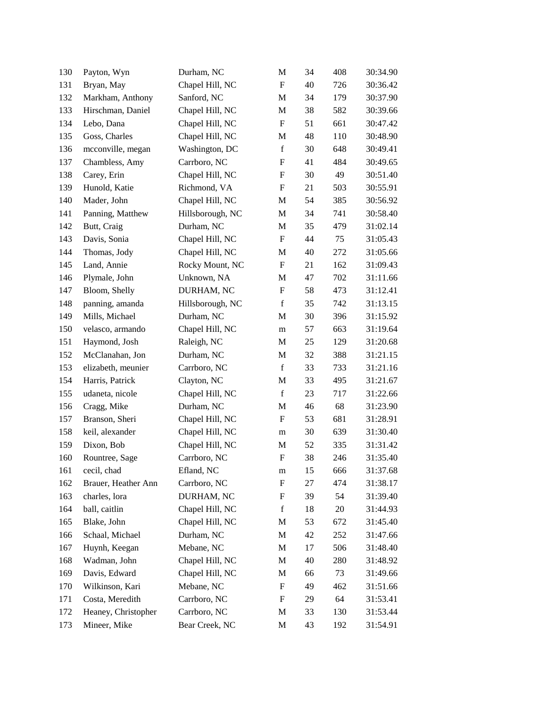| 130 | Payton, Wyn         | Durham, NC       | M                         | 34 | 408 | 30:34.90 |
|-----|---------------------|------------------|---------------------------|----|-----|----------|
| 131 | Bryan, May          | Chapel Hill, NC  | $\mathbf F$               | 40 | 726 | 30:36.42 |
| 132 | Markham, Anthony    | Sanford, NC      | M                         | 34 | 179 | 30:37.90 |
| 133 | Hirschman, Daniel   | Chapel Hill, NC  | M                         | 38 | 582 | 30:39.66 |
| 134 | Lebo, Dana          | Chapel Hill, NC  | $\boldsymbol{\mathrm{F}}$ | 51 | 661 | 30:47.42 |
| 135 | Goss, Charles       | Chapel Hill, NC  | M                         | 48 | 110 | 30:48.90 |
| 136 | mcconville, megan   | Washington, DC   | $\mathbf f$               | 30 | 648 | 30:49.41 |
| 137 | Chambless, Amy      | Carrboro, NC     | F                         | 41 | 484 | 30:49.65 |
| 138 | Carey, Erin         | Chapel Hill, NC  | F                         | 30 | 49  | 30:51.40 |
| 139 | Hunold, Katie       | Richmond, VA     | ${\bf F}$                 | 21 | 503 | 30:55.91 |
| 140 | Mader, John         | Chapel Hill, NC  | M                         | 54 | 385 | 30:56.92 |
| 141 | Panning, Matthew    | Hillsborough, NC | M                         | 34 | 741 | 30:58.40 |
| 142 | Butt, Craig         | Durham, NC       | M                         | 35 | 479 | 31:02.14 |
| 143 | Davis, Sonia        | Chapel Hill, NC  | $\boldsymbol{\mathrm{F}}$ | 44 | 75  | 31:05.43 |
| 144 | Thomas, Jody        | Chapel Hill, NC  | M                         | 40 | 272 | 31:05.66 |
| 145 | Land, Annie         | Rocky Mount, NC  | $\mathbf F$               | 21 | 162 | 31:09.43 |
| 146 | Plymale, John       | Unknown, NA      | M                         | 47 | 702 | 31:11.66 |
| 147 | Bloom, Shelly       | DURHAM, NC       | ${\bf F}$                 | 58 | 473 | 31:12.41 |
| 148 | panning, amanda     | Hillsborough, NC | $\mathbf f$               | 35 | 742 | 31:13.15 |
| 149 | Mills, Michael      | Durham, NC       | M                         | 30 | 396 | 31:15.92 |
| 150 | velasco, armando    | Chapel Hill, NC  | m                         | 57 | 663 | 31:19.64 |
| 151 | Haymond, Josh       | Raleigh, NC      | M                         | 25 | 129 | 31:20.68 |
| 152 | McClanahan, Jon     | Durham, NC       | M                         | 32 | 388 | 31:21.15 |
| 153 | elizabeth, meunier  | Carrboro, NC     | $\mathbf f$               | 33 | 733 | 31:21.16 |
| 154 | Harris, Patrick     | Clayton, NC      | M                         | 33 | 495 | 31:21.67 |
| 155 | udaneta, nicole     | Chapel Hill, NC  | $\mathbf f$               | 23 | 717 | 31:22.66 |
| 156 | Cragg, Mike         | Durham, NC       | M                         | 46 | 68  | 31:23.90 |
| 157 | Branson, Sheri      | Chapel Hill, NC  | $\boldsymbol{\mathrm{F}}$ | 53 | 681 | 31:28.91 |
| 158 | keil, alexander     | Chapel Hill, NC  | m                         | 30 | 639 | 31:30.40 |
| 159 | Dixon, Bob          | Chapel Hill, NC  | M                         | 52 | 335 | 31:31.42 |
| 160 | Rountree, Sage      | Carrboro, NC     | $\boldsymbol{\mathrm{F}}$ | 38 | 246 | 31:35.40 |
| 161 | cecil, chad         | Efland, NC       | m                         | 15 | 666 | 31:37.68 |
| 162 | Brauer, Heather Ann | Carrboro, NC     | F                         | 27 | 474 | 31:38.17 |
| 163 | charles, lora       | DURHAM, NC       | F                         | 39 | 54  | 31:39.40 |
| 164 | ball, caitlin       | Chapel Hill, NC  | $\mathbf f$               | 18 | 20  | 31:44.93 |
| 165 | Blake, John         | Chapel Hill, NC  | M                         | 53 | 672 | 31:45.40 |
| 166 | Schaal, Michael     | Durham, NC       | M                         | 42 | 252 | 31:47.66 |
| 167 | Huynh, Keegan       | Mebane, NC       | M                         | 17 | 506 | 31:48.40 |
| 168 | Wadman, John        | Chapel Hill, NC  | M                         | 40 | 280 | 31:48.92 |
| 169 | Davis, Edward       | Chapel Hill, NC  | M                         | 66 | 73  | 31:49.66 |
| 170 | Wilkinson, Kari     | Mebane, NC       | $\boldsymbol{\mathrm{F}}$ | 49 | 462 | 31:51.66 |
| 171 | Costa, Meredith     | Carrboro, NC     | F                         | 29 | 64  | 31:53.41 |
| 172 | Heaney, Christopher | Carrboro, NC     | M                         | 33 | 130 | 31:53.44 |
| 173 | Mineer, Mike        | Bear Creek, NC   | M                         | 43 | 192 | 31:54.91 |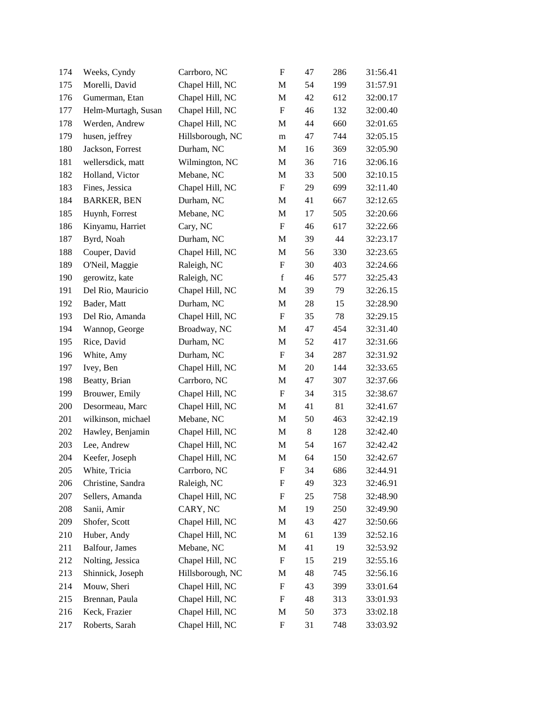| 174 | Weeks, Cyndy        | Carrboro, NC     | $\boldsymbol{\mathrm{F}}$ | 47    | 286 | 31:56.41 |
|-----|---------------------|------------------|---------------------------|-------|-----|----------|
| 175 | Morelli, David      | Chapel Hill, NC  | M                         | 54    | 199 | 31:57.91 |
| 176 | Gumerman, Etan      | Chapel Hill, NC  | M                         | 42    | 612 | 32:00.17 |
| 177 | Helm-Murtagh, Susan | Chapel Hill, NC  | $\boldsymbol{\mathrm{F}}$ | 46    | 132 | 32:00.40 |
| 178 | Werden, Andrew      | Chapel Hill, NC  | M                         | 44    | 660 | 32:01.65 |
| 179 | husen, jeffrey      | Hillsborough, NC | m                         | 47    | 744 | 32:05.15 |
| 180 | Jackson, Forrest    | Durham, NC       | M                         | 16    | 369 | 32:05.90 |
| 181 | wellersdick, matt   | Wilmington, NC   | M                         | 36    | 716 | 32:06.16 |
| 182 | Holland, Victor     | Mebane, NC       | M                         | 33    | 500 | 32:10.15 |
| 183 | Fines, Jessica      | Chapel Hill, NC  | F                         | 29    | 699 | 32:11.40 |
| 184 | <b>BARKER, BEN</b>  | Durham, NC       | M                         | 41    | 667 | 32:12.65 |
| 185 | Huynh, Forrest      | Mebane, NC       | M                         | 17    | 505 | 32:20.66 |
| 186 | Kinyamu, Harriet    | Cary, NC         | $\boldsymbol{\mathrm{F}}$ | 46    | 617 | 32:22.66 |
| 187 | Byrd, Noah          | Durham, NC       | M                         | 39    | 44  | 32:23.17 |
| 188 | Couper, David       | Chapel Hill, NC  | M                         | 56    | 330 | 32:23.65 |
| 189 | O'Neil, Maggie      | Raleigh, NC      | $\boldsymbol{\mathrm{F}}$ | 30    | 403 | 32:24.66 |
| 190 | gerowitz, kate      | Raleigh, NC      | $\mathbf f$               | 46    | 577 | 32:25.43 |
| 191 | Del Rio, Mauricio   | Chapel Hill, NC  | M                         | 39    | 79  | 32:26.15 |
| 192 | Bader, Matt         | Durham, NC       | M                         | 28    | 15  | 32:28.90 |
| 193 | Del Rio, Amanda     | Chapel Hill, NC  | F                         | 35    | 78  | 32:29.15 |
| 194 | Wannop, George      | Broadway, NC     | M                         | 47    | 454 | 32:31.40 |
| 195 | Rice, David         | Durham, NC       | M                         | 52    | 417 | 32:31.66 |
| 196 | White, Amy          | Durham, NC       | $\boldsymbol{\mathrm{F}}$ | 34    | 287 | 32:31.92 |
| 197 | Ivey, Ben           | Chapel Hill, NC  | M                         | 20    | 144 | 32:33.65 |
| 198 | Beatty, Brian       | Carrboro, NC     | M                         | 47    | 307 | 32:37.66 |
| 199 | Brouwer, Emily      | Chapel Hill, NC  | $\boldsymbol{\mathrm{F}}$ | 34    | 315 | 32:38.67 |
| 200 | Desormeau, Marc     | Chapel Hill, NC  | M                         | 41    | 81  | 32:41.67 |
| 201 | wilkinson, michael  | Mebane, NC       | M                         | 50    | 463 | 32:42.19 |
| 202 | Hawley, Benjamin    | Chapel Hill, NC  | M                         | $8\,$ | 128 | 32:42.40 |
| 203 | Lee, Andrew         | Chapel Hill, NC  | M                         | 54    | 167 | 32:42.42 |
| 204 | Keefer, Joseph      | Chapel Hill, NC  | M                         | 64    | 150 | 32:42.67 |
| 205 | White, Tricia       | Carrboro, NC     | F                         | 34    | 686 | 32:44.91 |
| 206 | Christine, Sandra   | Raleigh, NC      | F                         | 49    | 323 | 32:46.91 |
| 207 | Sellers, Amanda     | Chapel Hill, NC  | F                         | 25    | 758 | 32:48.90 |
| 208 | Sanii, Amir         | CARY, NC         | M                         | 19    | 250 | 32:49.90 |
| 209 | Shofer, Scott       | Chapel Hill, NC  | M                         | 43    | 427 | 32:50.66 |
| 210 | Huber, Andy         | Chapel Hill, NC  | M                         | 61    | 139 | 32:52.16 |
| 211 | Balfour, James      | Mebane, NC       | M                         | 41    | 19  | 32:53.92 |
| 212 | Nolting, Jessica    | Chapel Hill, NC  | F                         | 15    | 219 | 32:55.16 |
| 213 | Shinnick, Joseph    | Hillsborough, NC | M                         | 48    | 745 | 32:56.16 |
| 214 | Mouw, Sheri         | Chapel Hill, NC  | F                         | 43    | 399 | 33:01.64 |
| 215 | Brennan, Paula      | Chapel Hill, NC  | F                         | 48    | 313 | 33:01.93 |
| 216 | Keck, Frazier       | Chapel Hill, NC  | M                         | 50    | 373 | 33:02.18 |
| 217 | Roberts, Sarah      | Chapel Hill, NC  | F                         | 31    | 748 | 33:03.92 |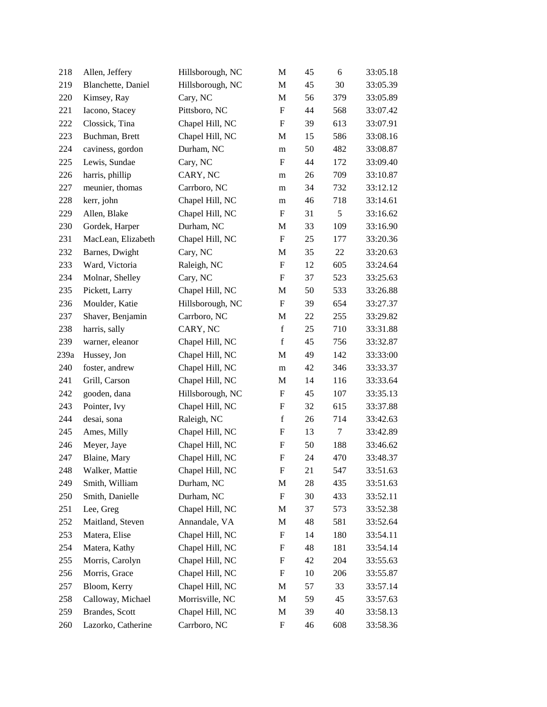| 218  | Allen, Jeffery     | Hillsborough, NC | M                         | 45 | 6      | 33:05.18 |
|------|--------------------|------------------|---------------------------|----|--------|----------|
| 219  | Blanchette, Daniel | Hillsborough, NC | M                         | 45 | 30     | 33:05.39 |
| 220  | Kimsey, Ray        | Cary, NC         | $\mathbf M$               | 56 | 379    | 33:05.89 |
| 221  | Iacono, Stacey     | Pittsboro, NC    | F                         | 44 | 568    | 33:07.42 |
| 222  | Clossick, Tina     | Chapel Hill, NC  | $\boldsymbol{\mathrm{F}}$ | 39 | 613    | 33:07.91 |
| 223  | Buchman, Brett     | Chapel Hill, NC  | M                         | 15 | 586    | 33:08.16 |
| 224  | caviness, gordon   | Durham, NC       | m                         | 50 | 482    | 33:08.87 |
| 225  | Lewis, Sundae      | Cary, NC         | $\boldsymbol{\mathrm{F}}$ | 44 | 172    | 33:09.40 |
| 226  | harris, phillip    | CARY, NC         | m                         | 26 | 709    | 33:10.87 |
| 227  | meunier, thomas    | Carrboro, NC     | m                         | 34 | 732    | 33:12.12 |
| 228  | kerr, john         | Chapel Hill, NC  | m                         | 46 | 718    | 33:14.61 |
| 229  | Allen, Blake       | Chapel Hill, NC  | F                         | 31 | 5      | 33:16.62 |
| 230  | Gordek, Harper     | Durham, NC       | M                         | 33 | 109    | 33:16.90 |
| 231  | MacLean, Elizabeth | Chapel Hill, NC  | $\boldsymbol{\mathrm{F}}$ | 25 | 177    | 33:20.36 |
| 232  | Barnes, Dwight     | Cary, NC         | M                         | 35 | 22     | 33:20.63 |
| 233  | Ward, Victoria     | Raleigh, NC      | $\boldsymbol{\mathrm{F}}$ | 12 | 605    | 33:24.64 |
| 234  | Molnar, Shelley    | Cary, NC         | $\boldsymbol{\mathrm{F}}$ | 37 | 523    | 33:25.63 |
| 235  | Pickett, Larry     | Chapel Hill, NC  | M                         | 50 | 533    | 33:26.88 |
| 236  | Moulder, Katie     | Hillsborough, NC | $\boldsymbol{\mathrm{F}}$ | 39 | 654    | 33:27.37 |
| 237  | Shaver, Benjamin   | Carrboro, NC     | M                         | 22 | 255    | 33:29.82 |
| 238  | harris, sally      | CARY, NC         | $\mathbf f$               | 25 | 710    | 33:31.88 |
| 239  | warner, eleanor    | Chapel Hill, NC  | $\mathbf f$               | 45 | 756    | 33:32.87 |
| 239a | Hussey, Jon        | Chapel Hill, NC  | M                         | 49 | 142    | 33:33:00 |
| 240  | foster, andrew     | Chapel Hill, NC  | m                         | 42 | 346    | 33:33.37 |
| 241  | Grill, Carson      | Chapel Hill, NC  | M                         | 14 | 116    | 33:33.64 |
| 242  | gooden, dana       | Hillsborough, NC | $\boldsymbol{\mathrm{F}}$ | 45 | 107    | 33:35.13 |
| 243  | Pointer, Ivy       | Chapel Hill, NC  | F                         | 32 | 615    | 33:37.88 |
| 244  | desai, sona        | Raleigh, NC      | $\mathbf f$               | 26 | 714    | 33:42.63 |
| 245  | Ames, Milly        | Chapel Hill, NC  | ${\rm F}$                 | 13 | $\tau$ | 33:42.89 |
| 246  | Meyer, Jaye        | Chapel Hill, NC  | F                         | 50 | 188    | 33:46.62 |
| 247  | Blaine, Mary       | Chapel Hill, NC  | ${\rm F}$                 | 24 | 470    | 33:48.37 |
| 248  | Walker, Mattie     | Chapel Hill, NC  | F                         | 21 | 547    | 33:51.63 |
| 249  | Smith, William     | Durham, NC       | M                         | 28 | 435    | 33:51.63 |
| 250  | Smith, Danielle    | Durham, NC       | F                         | 30 | 433    | 33:52.11 |
| 251  | Lee, Greg          | Chapel Hill, NC  | M                         | 37 | 573    | 33:52.38 |
| 252  | Maitland, Steven   | Annandale, VA    | M                         | 48 | 581    | 33:52.64 |
| 253  | Matera, Elise      | Chapel Hill, NC  | F                         | 14 | 180    | 33:54.11 |
| 254  | Matera, Kathy      | Chapel Hill, NC  | F                         | 48 | 181    | 33:54.14 |
| 255  | Morris, Carolyn    | Chapel Hill, NC  | F                         | 42 | 204    | 33:55.63 |
| 256  | Morris, Grace      | Chapel Hill, NC  | F                         | 10 | 206    | 33:55.87 |
| 257  | Bloom, Kerry       | Chapel Hill, NC  | M                         | 57 | 33     | 33:57.14 |
| 258  | Calloway, Michael  | Morrisville, NC  | M                         | 59 | 45     | 33:57.63 |
| 259  | Brandes, Scott     | Chapel Hill, NC  | M                         | 39 | 40     | 33:58.13 |
| 260  | Lazorko, Catherine | Carrboro, NC     | F                         | 46 | 608    | 33:58.36 |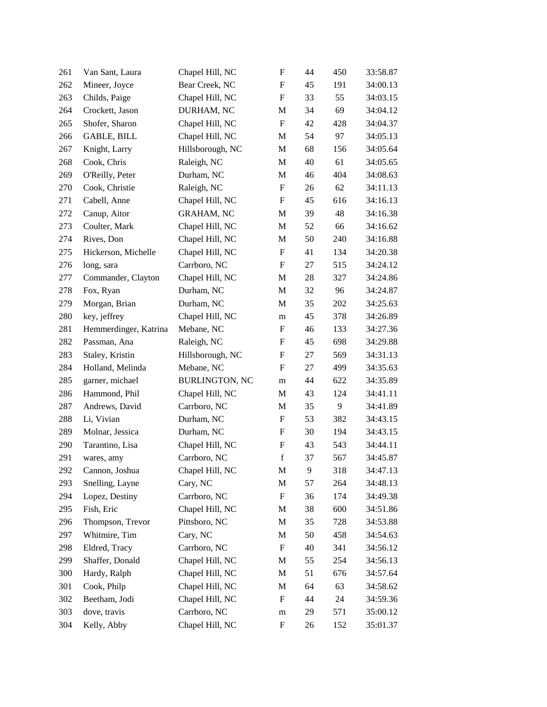| 261 | Van Sant, Laura       | Chapel Hill, NC       | ${\bf F}$                 | 44 | 450 | 33:58.87 |
|-----|-----------------------|-----------------------|---------------------------|----|-----|----------|
| 262 | Mineer, Joyce         | Bear Creek, NC        | F                         | 45 | 191 | 34:00.13 |
| 263 | Childs, Paige         | Chapel Hill, NC       | $\boldsymbol{\mathrm{F}}$ | 33 | 55  | 34:03.15 |
| 264 | Crockett, Jason       | DURHAM, NC            | M                         | 34 | 69  | 34:04.12 |
| 265 | Shofer, Sharon        | Chapel Hill, NC       | ${\bf F}$                 | 42 | 428 | 34:04.37 |
| 266 | <b>GABLE, BILL</b>    | Chapel Hill, NC       | M                         | 54 | 97  | 34:05.13 |
| 267 | Knight, Larry         | Hillsborough, NC      | M                         | 68 | 156 | 34:05.64 |
| 268 | Cook, Chris           | Raleigh, NC           | M                         | 40 | 61  | 34:05.65 |
| 269 | O'Reilly, Peter       | Durham, NC            | M                         | 46 | 404 | 34:08.63 |
| 270 | Cook, Christie        | Raleigh, NC           | ${\bf F}$                 | 26 | 62  | 34:11.13 |
| 271 | Cabell, Anne          | Chapel Hill, NC       | ${\bf F}$                 | 45 | 616 | 34:16.13 |
| 272 | Canup, Aitor          | <b>GRAHAM, NC</b>     | M                         | 39 | 48  | 34:16.38 |
| 273 | Coulter, Mark         | Chapel Hill, NC       | M                         | 52 | 66  | 34:16.62 |
| 274 | Rives, Don            | Chapel Hill, NC       | M                         | 50 | 240 | 34:16.88 |
| 275 | Hickerson, Michelle   | Chapel Hill, NC       | F                         | 41 | 134 | 34:20.38 |
| 276 | long, sara            | Carrboro, NC          | ${\bf F}$                 | 27 | 515 | 34:24.12 |
| 277 | Commander, Clayton    | Chapel Hill, NC       | M                         | 28 | 327 | 34:24.86 |
| 278 | Fox, Ryan             | Durham, NC            | M                         | 32 | 96  | 34:24.87 |
| 279 | Morgan, Brian         | Durham, NC            | M                         | 35 | 202 | 34:25.63 |
| 280 | key, jeffrey          | Chapel Hill, NC       | m                         | 45 | 378 | 34:26.89 |
| 281 | Hemmerdinger, Katrina | Mebane, NC            | F                         | 46 | 133 | 34:27.36 |
| 282 | Passman, Ana          | Raleigh, NC           | F                         | 45 | 698 | 34:29.88 |
| 283 | Staley, Kristin       | Hillsborough, NC      | F                         | 27 | 569 | 34:31.13 |
| 284 | Holland, Melinda      | Mebane, NC            | $\boldsymbol{\mathrm{F}}$ | 27 | 499 | 34:35.63 |
| 285 | garner, michael       | <b>BURLINGTON, NC</b> | m                         | 44 | 622 | 34:35.89 |
| 286 | Hammond, Phil         | Chapel Hill, NC       | M                         | 43 | 124 | 34:41.11 |
| 287 | Andrews, David        | Carrboro, NC          | M                         | 35 | 9   | 34:41.89 |
| 288 | Li, Vivian            | Durham, NC            | F                         | 53 | 382 | 34:43.15 |
| 289 | Molnar, Jessica       | Durham, NC            | $\boldsymbol{\mathrm{F}}$ | 30 | 194 | 34:43.15 |
| 290 | Tarantino, Lisa       | Chapel Hill, NC       | F                         | 43 | 543 | 34:44.11 |
| 291 | wares, amy            | Carrboro, NC          | $\mathbf f$               | 37 | 567 | 34:45.87 |
| 292 | Cannon, Joshua        | Chapel Hill, NC       | M                         | 9  | 318 | 34:47.13 |
| 293 | Snelling, Layne       | Cary, NC              | M                         | 57 | 264 | 34:48.13 |
| 294 | Lopez, Destiny        | Carrboro, NC          | $\boldsymbol{\mathrm{F}}$ | 36 | 174 | 34:49.38 |
| 295 | Fish, Eric            | Chapel Hill, NC       | M                         | 38 | 600 | 34:51.86 |
| 296 | Thompson, Trevor      | Pittsboro, NC         | M                         | 35 | 728 | 34:53.88 |
| 297 | Whitmire, Tim         | Cary, NC              | M                         | 50 | 458 | 34:54.63 |
| 298 | Eldred, Tracy         | Carrboro, NC          | F                         | 40 | 341 | 34:56.12 |
| 299 | Shaffer, Donald       | Chapel Hill, NC       | M                         | 55 | 254 | 34:56.13 |
| 300 | Hardy, Ralph          | Chapel Hill, NC       | M                         | 51 | 676 | 34:57.64 |
| 301 | Cook, Philp           | Chapel Hill, NC       | M                         | 64 | 63  | 34:58.62 |
| 302 | Beetham, Jodi         | Chapel Hill, NC       | F                         | 44 | 24  | 34:59.36 |
| 303 | dove, travis          | Carrboro, NC          | ${\rm m}$                 | 29 | 571 | 35:00.12 |
| 304 | Kelly, Abby           | Chapel Hill, NC       | $\boldsymbol{\mathrm{F}}$ | 26 | 152 | 35:01.37 |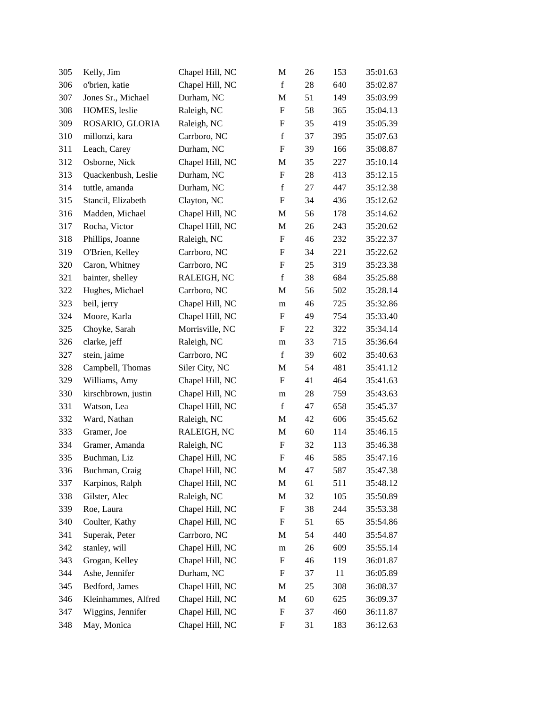| 305 | Kelly, Jim          | Chapel Hill, NC | M                         | 26 | 153 | 35:01.63 |
|-----|---------------------|-----------------|---------------------------|----|-----|----------|
| 306 | o'brien, katie      | Chapel Hill, NC | $\mathbf f$               | 28 | 640 | 35:02.87 |
| 307 | Jones Sr., Michael  | Durham, NC      | M                         | 51 | 149 | 35:03.99 |
| 308 | HOMES, leslie       | Raleigh, NC     | F                         | 58 | 365 | 35:04.13 |
| 309 | ROSARIO, GLORIA     | Raleigh, NC     | F                         | 35 | 419 | 35:05.39 |
| 310 | millonzi, kara      | Carrboro, NC    | $\mathbf f$               | 37 | 395 | 35:07.63 |
| 311 | Leach, Carey        | Durham, NC      | F                         | 39 | 166 | 35:08.87 |
| 312 | Osborne, Nick       | Chapel Hill, NC | M                         | 35 | 227 | 35:10.14 |
| 313 | Quackenbush, Leslie | Durham, NC      | F                         | 28 | 413 | 35:12.15 |
| 314 | tuttle, amanda      | Durham, NC      | $\mathbf f$               | 27 | 447 | 35:12.38 |
| 315 | Stancil, Elizabeth  | Clayton, NC     | $\boldsymbol{\mathrm{F}}$ | 34 | 436 | 35:12.62 |
| 316 | Madden, Michael     | Chapel Hill, NC | M                         | 56 | 178 | 35:14.62 |
| 317 | Rocha, Victor       | Chapel Hill, NC | M                         | 26 | 243 | 35:20.62 |
| 318 | Phillips, Joanne    | Raleigh, NC     | F                         | 46 | 232 | 35:22.37 |
| 319 | O'Brien, Kelley     | Carrboro, NC    | $\boldsymbol{\mathrm{F}}$ | 34 | 221 | 35:22.62 |
| 320 | Caron, Whitney      | Carrboro, NC    | $\boldsymbol{\mathrm{F}}$ | 25 | 319 | 35:23.38 |
| 321 | bainter, shelley    | RALEIGH, NC     | $\mathbf f$               | 38 | 684 | 35:25.88 |
| 322 | Hughes, Michael     | Carrboro, NC    | M                         | 56 | 502 | 35:28.14 |
| 323 | beil, jerry         | Chapel Hill, NC | m                         | 46 | 725 | 35:32.86 |
| 324 | Moore, Karla        | Chapel Hill, NC | F                         | 49 | 754 | 35:33.40 |
| 325 | Choyke, Sarah       | Morrisville, NC | F                         | 22 | 322 | 35:34.14 |
| 326 | clarke, jeff        | Raleigh, NC     | m                         | 33 | 715 | 35:36.64 |
| 327 | stein, jaime        | Carrboro, NC    | $\mathbf f$               | 39 | 602 | 35:40.63 |
| 328 | Campbell, Thomas    | Siler City, NC  | M                         | 54 | 481 | 35:41.12 |
| 329 | Williams, Amy       | Chapel Hill, NC | F                         | 41 | 464 | 35:41.63 |
| 330 | kirschbrown, justin | Chapel Hill, NC | m                         | 28 | 759 | 35:43.63 |
| 331 | Watson, Lea         | Chapel Hill, NC | $\mathbf f$               | 47 | 658 | 35:45.37 |
| 332 | Ward, Nathan        | Raleigh, NC     | M                         | 42 | 606 | 35:45.62 |
| 333 | Gramer, Joe         | RALEIGH, NC     | M                         | 60 | 114 | 35:46.15 |
| 334 | Gramer, Amanda      | Raleigh, NC     | $\boldsymbol{\mathrm{F}}$ | 32 | 113 | 35:46.38 |
| 335 | Buchman, Liz        | Chapel Hill, NC | $\boldsymbol{\mathrm{F}}$ | 46 | 585 | 35:47.16 |
| 336 | Buchman, Craig      | Chapel Hill, NC | M                         | 47 | 587 | 35:47.38 |
| 337 | Karpinos, Ralph     | Chapel Hill, NC | M                         | 61 | 511 | 35:48.12 |
| 338 | Gilster, Alec       | Raleigh, NC     | M                         | 32 | 105 | 35:50.89 |
| 339 | Roe, Laura          | Chapel Hill, NC | F                         | 38 | 244 | 35:53.38 |
| 340 | Coulter, Kathy      | Chapel Hill, NC | $\boldsymbol{F}$          | 51 | 65  | 35:54.86 |
| 341 | Superak, Peter      | Carrboro, NC    | M                         | 54 | 440 | 35:54.87 |
| 342 | stanley, will       | Chapel Hill, NC | m                         | 26 | 609 | 35:55.14 |
| 343 | Grogan, Kelley      | Chapel Hill, NC | F                         | 46 | 119 | 36:01.87 |
| 344 | Ashe, Jennifer      | Durham, NC      | F                         | 37 | 11  | 36:05.89 |
| 345 | Bedford, James      | Chapel Hill, NC | M                         | 25 | 308 | 36:08.37 |
| 346 | Kleinhammes, Alfred | Chapel Hill, NC | M                         | 60 | 625 | 36:09.37 |
| 347 | Wiggins, Jennifer   | Chapel Hill, NC | $\boldsymbol{F}$          | 37 | 460 | 36:11.87 |
| 348 | May, Monica         | Chapel Hill, NC | F                         | 31 | 183 | 36:12.63 |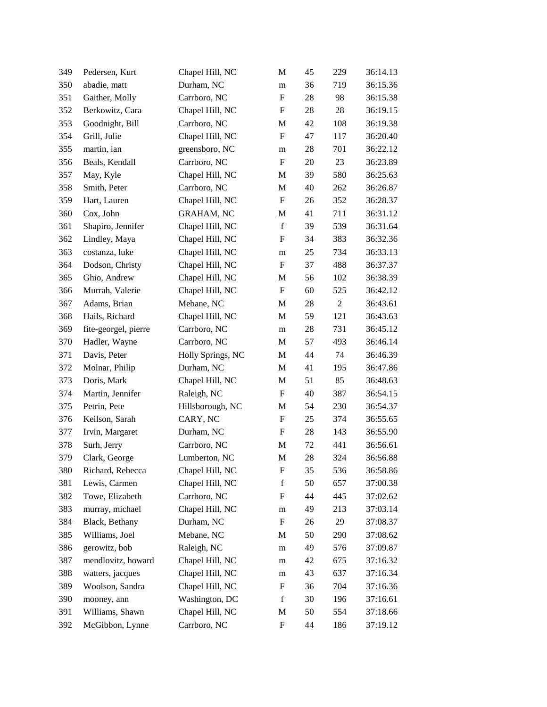| 349 | Pedersen, Kurt       | Chapel Hill, NC   | M                         | 45     | 229              | 36:14.13 |
|-----|----------------------|-------------------|---------------------------|--------|------------------|----------|
| 350 | abadie, matt         | Durham, NC        | m                         | 36     | 719              | 36:15.36 |
| 351 | Gaither, Molly       | Carrboro, NC      | $\boldsymbol{\mathrm{F}}$ | 28     | 98               | 36:15.38 |
| 352 | Berkowitz, Cara      | Chapel Hill, NC   | F                         | 28     | 28               | 36:19.15 |
| 353 | Goodnight, Bill      | Carrboro, NC      | M                         | 42     | 108              | 36:19.38 |
| 354 | Grill, Julie         | Chapel Hill, NC   | ${\bf F}$                 | 47     | 117              | 36:20.40 |
| 355 | martin, ian          | greensboro, NC    | m                         | 28     | 701              | 36:22.12 |
| 356 | Beals, Kendall       | Carrboro, NC      | ${\bf F}$                 | 20     | 23               | 36:23.89 |
| 357 | May, Kyle            | Chapel Hill, NC   | M                         | 39     | 580              | 36:25.63 |
| 358 | Smith, Peter         | Carrboro, NC      | M                         | 40     | 262              | 36:26.87 |
| 359 | Hart, Lauren         | Chapel Hill, NC   | ${\bf F}$                 | 26     | 352              | 36:28.37 |
| 360 | Cox, John            | <b>GRAHAM, NC</b> | M                         | 41     | 711              | 36:31.12 |
| 361 | Shapiro, Jennifer    | Chapel Hill, NC   | $\mathbf f$               | 39     | 539              | 36:31.64 |
| 362 | Lindley, Maya        | Chapel Hill, NC   | ${\rm F}$                 | 34     | 383              | 36:32.36 |
| 363 | costanza, luke       | Chapel Hill, NC   | m                         | 25     | 734              | 36:33.13 |
| 364 | Dodson, Christy      | Chapel Hill, NC   | ${\bf F}$                 | 37     | 488              | 36:37.37 |
| 365 | Ghio, Andrew         | Chapel Hill, NC   | M                         | 56     | 102              | 36:38.39 |
| 366 | Murrah, Valerie      | Chapel Hill, NC   | ${\bf F}$                 | 60     | 525              | 36:42.12 |
| 367 | Adams, Brian         | Mebane, NC        | M                         | 28     | $\boldsymbol{2}$ | 36:43.61 |
| 368 | Hails, Richard       | Chapel Hill, NC   | M                         | 59     | 121              | 36:43.63 |
| 369 | fite-georgel, pierre | Carrboro, NC      | ${\bf m}$                 | $28\,$ | 731              | 36:45.12 |
| 370 | Hadler, Wayne        | Carrboro, NC      | M                         | 57     | 493              | 36:46.14 |
| 371 | Davis, Peter         | Holly Springs, NC | M                         | 44     | 74               | 36:46.39 |
| 372 | Molnar, Philip       | Durham, NC        | M                         | 41     | 195              | 36:47.86 |
| 373 | Doris, Mark          | Chapel Hill, NC   | M                         | 51     | 85               | 36:48.63 |
| 374 | Martin, Jennifer     | Raleigh, NC       | ${\bf F}$                 | 40     | 387              | 36:54.15 |
| 375 | Petrin, Pete         | Hillsborough, NC  | M                         | 54     | 230              | 36:54.37 |
| 376 | Keilson, Sarah       | CARY, NC          | ${\bf F}$                 | 25     | 374              | 36:55.65 |
| 377 | Irvin, Margaret      | Durham, NC        | F                         | 28     | 143              | 36:55.90 |
| 378 | Surh, Jerry          | Carrboro, NC      | M                         | 72     | 441              | 36:56.61 |
| 379 | Clark, George        | Lumberton, NC     | M                         | 28     | 324              | 36:56.88 |
| 380 | Richard, Rebecca     | Chapel Hill, NC   | F                         | 35     | 536              | 36:58.86 |
| 381 | Lewis, Carmen        | Chapel Hill, NC   | $\mathbf f$               | 50     | 657              | 37:00.38 |
| 382 | Towe, Elizabeth      | Carrboro, NC      | F                         | 44     | 445              | 37:02.62 |
| 383 | murray, michael      | Chapel Hill, NC   | m                         | 49     | 213              | 37:03.14 |
| 384 | Black, Bethany       | Durham, NC        | ${\bf F}$                 | 26     | 29               | 37:08.37 |
| 385 | Williams, Joel       | Mebane, NC        | M                         | 50     | 290              | 37:08.62 |
| 386 | gerowitz, bob        | Raleigh, NC       | m                         | 49     | 576              | 37:09.87 |
| 387 | mendlovitz, howard   | Chapel Hill, NC   | m                         | 42     | 675              | 37:16.32 |
| 388 | watters, jacques     | Chapel Hill, NC   | m                         | 43     | 637              | 37:16.34 |
| 389 | Woolson, Sandra      | Chapel Hill, NC   | F                         | 36     | 704              | 37:16.36 |
| 390 | mooney, ann          | Washington, DC    | $\mathbf f$               | 30     | 196              | 37:16.61 |
| 391 | Williams, Shawn      | Chapel Hill, NC   | M                         | 50     | 554              | 37:18.66 |
| 392 | McGibbon, Lynne      | Carrboro, NC      | F                         | 44     | 186              | 37:19.12 |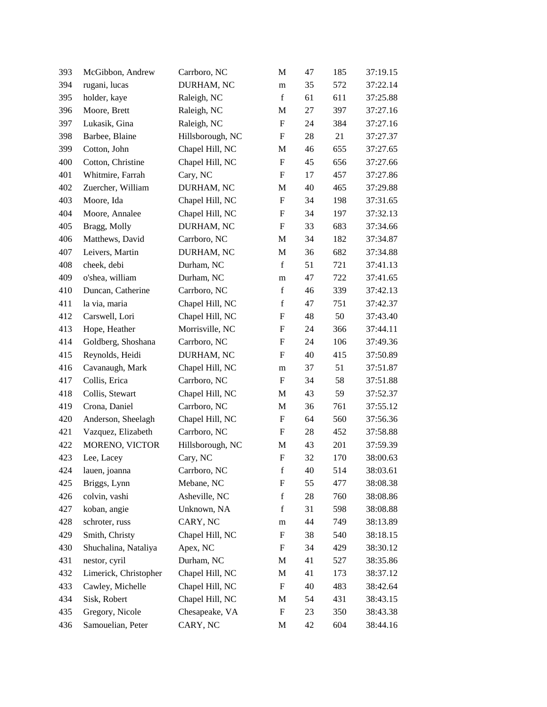| 393 | McGibbon, Andrew      | Carrboro, NC     | M                         | 47 | 185 | 37:19.15 |
|-----|-----------------------|------------------|---------------------------|----|-----|----------|
| 394 | rugani, lucas         | DURHAM, NC       | m                         | 35 | 572 | 37:22.14 |
| 395 | holder, kaye          | Raleigh, NC      | $\mathbf f$               | 61 | 611 | 37:25.88 |
| 396 | Moore, Brett          | Raleigh, NC      | M                         | 27 | 397 | 37:27.16 |
| 397 | Lukasik, Gina         | Raleigh, NC      | $\boldsymbol{\mathrm{F}}$ | 24 | 384 | 37:27.16 |
| 398 | Barbee, Blaine        | Hillsborough, NC | $\boldsymbol{\mathrm{F}}$ | 28 | 21  | 37:27.37 |
| 399 | Cotton, John          | Chapel Hill, NC  | M                         | 46 | 655 | 37:27.65 |
| 400 | Cotton, Christine     | Chapel Hill, NC  | $\mathbf F$               | 45 | 656 | 37:27.66 |
| 401 | Whitmire, Farrah      | Cary, NC         | F                         | 17 | 457 | 37:27.86 |
| 402 | Zuercher, William     | DURHAM, NC       | M                         | 40 | 465 | 37:29.88 |
| 403 | Moore, Ida            | Chapel Hill, NC  | $\boldsymbol{\mathrm{F}}$ | 34 | 198 | 37:31.65 |
| 404 | Moore, Annalee        | Chapel Hill, NC  | $\mathbf F$               | 34 | 197 | 37:32.13 |
| 405 | Bragg, Molly          | DURHAM, NC       | $\boldsymbol{\mathrm{F}}$ | 33 | 683 | 37:34.66 |
| 406 | Matthews, David       | Carrboro, NC     | M                         | 34 | 182 | 37:34.87 |
| 407 | Leivers, Martin       | DURHAM, NC       | M                         | 36 | 682 | 37:34.88 |
| 408 | cheek, debi           | Durham, NC       | $\mathbf f$               | 51 | 721 | 37:41.13 |
| 409 | o'shea, william       | Durham, NC       | m                         | 47 | 722 | 37:41.65 |
| 410 | Duncan, Catherine     | Carrboro, NC     | $\mathbf f$               | 46 | 339 | 37:42.13 |
| 411 | la via, maria         | Chapel Hill, NC  | $\mathbf f$               | 47 | 751 | 37:42.37 |
| 412 | Carswell, Lori        | Chapel Hill, NC  | $\boldsymbol{\mathrm{F}}$ | 48 | 50  | 37:43.40 |
| 413 | Hope, Heather         | Morrisville, NC  | $\boldsymbol{\mathrm{F}}$ | 24 | 366 | 37:44.11 |
| 414 | Goldberg, Shoshana    | Carrboro, NC     | F                         | 24 | 106 | 37:49.36 |
| 415 | Reynolds, Heidi       | DURHAM, NC       | $\boldsymbol{\mathrm{F}}$ | 40 | 415 | 37:50.89 |
| 416 | Cavanaugh, Mark       | Chapel Hill, NC  | m                         | 37 | 51  | 37:51.87 |
| 417 | Collis, Erica         | Carrboro, NC     | F                         | 34 | 58  | 37:51.88 |
| 418 | Collis, Stewart       | Chapel Hill, NC  | M                         | 43 | 59  | 37:52.37 |
| 419 | Crona, Daniel         | Carrboro, NC     | M                         | 36 | 761 | 37:55.12 |
| 420 | Anderson, Sheelagh    | Chapel Hill, NC  | $\boldsymbol{\mathrm{F}}$ | 64 | 560 | 37:56.36 |
| 421 | Vazquez, Elizabeth    | Carrboro, NC     | F                         | 28 | 452 | 37:58.88 |
| 422 | MORENO, VICTOR        | Hillsborough, NC | M                         | 43 | 201 | 37:59.39 |
| 423 | Lee, Lacey            | Cary, NC         | ${\bf F}$                 | 32 | 170 | 38:00.63 |
| 424 | lauen, joanna         | Carrboro, NC     | f                         | 40 | 514 | 38:03.61 |
| 425 | Briggs, Lynn          | Mebane, NC       | F                         | 55 | 477 | 38:08.38 |
| 426 | colvin, vashi         | Asheville, NC    | $\mathbf f$               | 28 | 760 | 38:08.86 |
| 427 | koban, angie          | Unknown, NA      | $\mathbf f$               | 31 | 598 | 38:08.88 |
| 428 | schroter, russ        | CARY, NC         | m                         | 44 | 749 | 38:13.89 |
| 429 | Smith, Christy        | Chapel Hill, NC  | F                         | 38 | 540 | 38:18.15 |
| 430 | Shuchalina, Nataliya  | Apex, NC         | F                         | 34 | 429 | 38:30.12 |
| 431 | nestor, cyril         | Durham, NC       | M                         | 41 | 527 | 38:35.86 |
| 432 | Limerick, Christopher | Chapel Hill, NC  | M                         | 41 | 173 | 38:37.12 |
| 433 | Cawley, Michelle      | Chapel Hill, NC  | $\boldsymbol{\mathrm{F}}$ | 40 | 483 | 38:42.64 |
| 434 | Sisk, Robert          | Chapel Hill, NC  | M                         | 54 | 431 | 38:43.15 |
| 435 | Gregory, Nicole       | Chesapeake, VA   | $\boldsymbol{\mathrm{F}}$ | 23 | 350 | 38:43.38 |
| 436 | Samouelian, Peter     | CARY, NC         | M                         | 42 | 604 | 38:44.16 |
|     |                       |                  |                           |    |     |          |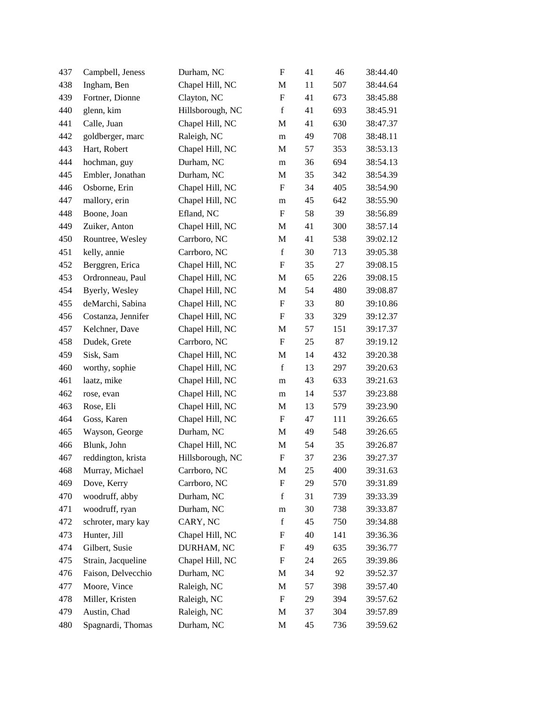| 437 | Campbell, Jeness   | Durham, NC       | $\boldsymbol{\mathrm{F}}$ | 41 | 46  | 38:44.40 |
|-----|--------------------|------------------|---------------------------|----|-----|----------|
| 438 | Ingham, Ben        | Chapel Hill, NC  | M                         | 11 | 507 | 38:44.64 |
| 439 | Fortner, Dionne    | Clayton, NC      | F                         | 41 | 673 | 38:45.88 |
| 440 | glenn, kim         | Hillsborough, NC | $\mathbf f$               | 41 | 693 | 38:45.91 |
| 441 | Calle, Juan        | Chapel Hill, NC  | M                         | 41 | 630 | 38:47.37 |
| 442 | goldberger, marc   | Raleigh, NC      | m                         | 49 | 708 | 38:48.11 |
| 443 | Hart, Robert       | Chapel Hill, NC  | M                         | 57 | 353 | 38:53.13 |
| 444 | hochman, guy       | Durham, NC       | m                         | 36 | 694 | 38:54.13 |
| 445 | Embler, Jonathan   | Durham, NC       | M                         | 35 | 342 | 38:54.39 |
| 446 | Osborne, Erin      | Chapel Hill, NC  | F                         | 34 | 405 | 38:54.90 |
| 447 | mallory, erin      | Chapel Hill, NC  | m                         | 45 | 642 | 38:55.90 |
| 448 | Boone, Joan        | Efland, NC       | $\mathbf F$               | 58 | 39  | 38:56.89 |
| 449 | Zuiker, Anton      | Chapel Hill, NC  | M                         | 41 | 300 | 38:57.14 |
| 450 | Rountree, Wesley   | Carrboro, NC     | M                         | 41 | 538 | 39:02.12 |
| 451 | kelly, annie       | Carrboro, NC     | $\mathbf f$               | 30 | 713 | 39:05.38 |
| 452 | Berggren, Erica    | Chapel Hill, NC  | $\boldsymbol{\mathrm{F}}$ | 35 | 27  | 39:08.15 |
| 453 | Ordronneau, Paul   | Chapel Hill, NC  | M                         | 65 | 226 | 39:08.15 |
| 454 | Byerly, Wesley     | Chapel Hill, NC  | M                         | 54 | 480 | 39:08.87 |
| 455 | deMarchi, Sabina   | Chapel Hill, NC  | $\boldsymbol{\mathrm{F}}$ | 33 | 80  | 39:10.86 |
| 456 | Costanza, Jennifer | Chapel Hill, NC  | $\boldsymbol{\mathrm{F}}$ | 33 | 329 | 39:12.37 |
| 457 | Kelchner, Dave     | Chapel Hill, NC  | M                         | 57 | 151 | 39:17.37 |
| 458 | Dudek, Grete       | Carrboro, NC     | $\mathbf F$               | 25 | 87  | 39:19.12 |
| 459 | Sisk, Sam          | Chapel Hill, NC  | M                         | 14 | 432 | 39:20.38 |
| 460 | worthy, sophie     | Chapel Hill, NC  | $\mathbf f$               | 13 | 297 | 39:20.63 |
| 461 | laatz, mike        | Chapel Hill, NC  | m                         | 43 | 633 | 39:21.63 |
| 462 | rose, evan         | Chapel Hill, NC  | m                         | 14 | 537 | 39:23.88 |
| 463 | Rose, Eli          | Chapel Hill, NC  | M                         | 13 | 579 | 39:23.90 |
| 464 | Goss, Karen        | Chapel Hill, NC  | F                         | 47 | 111 | 39:26.65 |
| 465 | Wayson, George     | Durham, NC       | M                         | 49 | 548 | 39:26.65 |
| 466 | Blunk, John        | Chapel Hill, NC  | M                         | 54 | 35  | 39:26.87 |
| 467 | reddington, krista | Hillsborough, NC | $\boldsymbol{\mathrm{F}}$ | 37 | 236 | 39:27.37 |
| 468 | Murray, Michael    | Carrboro, NC     | M                         | 25 | 400 | 39:31.63 |
| 469 | Dove, Kerry        | Carrboro, NC     | F                         | 29 | 570 | 39:31.89 |
| 470 | woodruff, abby     | Durham, NC       | $\mathbf f$               | 31 | 739 | 39:33.39 |
| 471 | woodruff, ryan     | Durham, NC       | m                         | 30 | 738 | 39:33.87 |
| 472 | schroter, mary kay | CARY, NC         | $\mathbf f$               | 45 | 750 | 39:34.88 |
| 473 | Hunter, Jill       | Chapel Hill, NC  | F                         | 40 | 141 | 39:36.36 |
| 474 | Gilbert, Susie     | DURHAM, NC       | F                         | 49 | 635 | 39:36.77 |
| 475 | Strain, Jacqueline | Chapel Hill, NC  | F                         | 24 | 265 | 39:39.86 |
| 476 | Faison, Delvecchio | Durham, NC       | M                         | 34 | 92  | 39:52.37 |
| 477 | Moore, Vince       | Raleigh, NC      | M                         | 57 | 398 | 39:57.40 |
| 478 | Miller, Kristen    | Raleigh, NC      | F                         | 29 | 394 | 39:57.62 |
| 479 | Austin, Chad       | Raleigh, NC      | M                         | 37 | 304 | 39:57.89 |
| 480 | Spagnardi, Thomas  | Durham, NC       | M                         | 45 | 736 | 39:59.62 |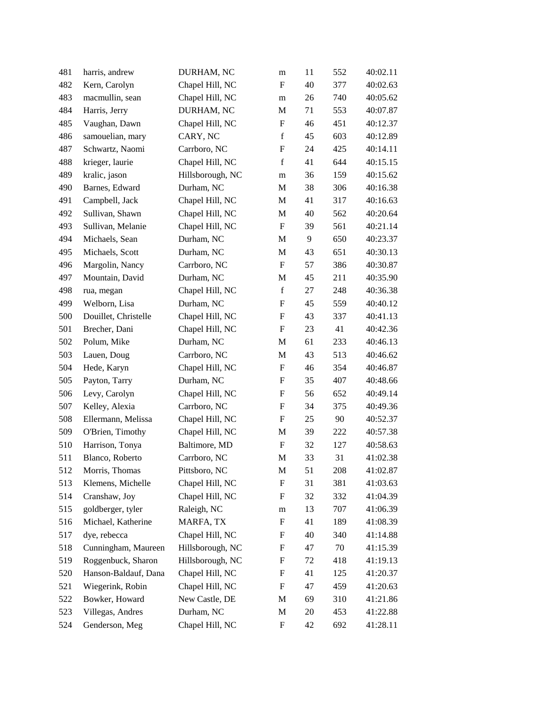| 481 | harris, andrew       | DURHAM, NC       | m                         | 11 | 552 | 40:02.11 |
|-----|----------------------|------------------|---------------------------|----|-----|----------|
| 482 | Kern, Carolyn        | Chapel Hill, NC  | F                         | 40 | 377 | 40:02.63 |
| 483 | macmullin, sean      | Chapel Hill, NC  | m                         | 26 | 740 | 40:05.62 |
| 484 | Harris, Jerry        | DURHAM, NC       | M                         | 71 | 553 | 40:07.87 |
| 485 | Vaughan, Dawn        | Chapel Hill, NC  | F                         | 46 | 451 | 40:12.37 |
| 486 | samouelian, mary     | CARY, NC         | $\mathbf f$               | 45 | 603 | 40:12.89 |
| 487 | Schwartz, Naomi      | Carrboro, NC     | F                         | 24 | 425 | 40:14.11 |
| 488 | krieger, laurie      | Chapel Hill, NC  | $\mathbf f$               | 41 | 644 | 40:15.15 |
| 489 | kralic, jason        | Hillsborough, NC | m                         | 36 | 159 | 40:15.62 |
| 490 | Barnes, Edward       | Durham, NC       | M                         | 38 | 306 | 40:16.38 |
| 491 | Campbell, Jack       | Chapel Hill, NC  | M                         | 41 | 317 | 40:16.63 |
| 492 | Sullivan, Shawn      | Chapel Hill, NC  | $\mathbf M$               | 40 | 562 | 40:20.64 |
| 493 | Sullivan, Melanie    | Chapel Hill, NC  | $\boldsymbol{\mathrm{F}}$ | 39 | 561 | 40:21.14 |
| 494 | Michaels, Sean       | Durham, NC       | M                         | 9  | 650 | 40:23.37 |
| 495 | Michaels, Scott      | Durham, NC       | M                         | 43 | 651 | 40:30.13 |
| 496 | Margolin, Nancy      | Carrboro, NC     | $\boldsymbol{\mathrm{F}}$ | 57 | 386 | 40:30.87 |
| 497 | Mountain, David      | Durham, NC       | M                         | 45 | 211 | 40:35.90 |
| 498 | rua, megan           | Chapel Hill, NC  | $\mathbf f$               | 27 | 248 | 40:36.38 |
| 499 | Welborn, Lisa        | Durham, NC       | F                         | 45 | 559 | 40:40.12 |
| 500 | Douillet, Christelle | Chapel Hill, NC  | F                         | 43 | 337 | 40:41.13 |
| 501 | Brecher, Dani        | Chapel Hill, NC  | $\boldsymbol{\mathrm{F}}$ | 23 | 41  | 40:42.36 |
| 502 | Polum, Mike          | Durham, NC       | M                         | 61 | 233 | 40:46.13 |
| 503 | Lauen, Doug          | Carrboro, NC     | M                         | 43 | 513 | 40:46.62 |
| 504 | Hede, Karyn          | Chapel Hill, NC  | $\boldsymbol{\mathrm{F}}$ | 46 | 354 | 40:46.87 |
| 505 | Payton, Tarry        | Durham, NC       | $\boldsymbol{\mathrm{F}}$ | 35 | 407 | 40:48.66 |
| 506 | Levy, Carolyn        | Chapel Hill, NC  | $\boldsymbol{\mathrm{F}}$ | 56 | 652 | 40:49.14 |
| 507 | Kelley, Alexia       | Carrboro, NC     | F                         | 34 | 375 | 40:49.36 |
| 508 | Ellermann, Melissa   | Chapel Hill, NC  | F                         | 25 | 90  | 40:52.37 |
| 509 | O'Brien, Timothy     | Chapel Hill, NC  | M                         | 39 | 222 | 40:57.38 |
| 510 | Harrison, Tonya      | Baltimore, MD    | $\boldsymbol{\mathrm{F}}$ | 32 | 127 | 40:58.63 |
| 511 | Blanco, Roberto      | Carrboro, NC     | M                         | 33 | 31  | 41:02.38 |
| 512 | Morris, Thomas       | Pittsboro, NC    | M                         | 51 | 208 | 41:02.87 |
| 513 | Klemens, Michelle    | Chapel Hill, NC  | $\boldsymbol{\mathrm{F}}$ | 31 | 381 | 41:03.63 |
| 514 | Cranshaw, Joy        | Chapel Hill, NC  | F                         | 32 | 332 | 41:04.39 |
| 515 | goldberger, tyler    | Raleigh, NC      | m                         | 13 | 707 | 41:06.39 |
| 516 | Michael, Katherine   | MARFA, TX        | F                         | 41 | 189 | 41:08.39 |
| 517 | dye, rebecca         | Chapel Hill, NC  | F                         | 40 | 340 | 41:14.88 |
| 518 | Cunningham, Maureen  | Hillsborough, NC | $\boldsymbol{\mathrm{F}}$ | 47 | 70  | 41:15.39 |
| 519 | Roggenbuck, Sharon   | Hillsborough, NC | F                         | 72 | 418 | 41:19.13 |
| 520 | Hanson-Baldauf, Dana | Chapel Hill, NC  | F                         | 41 | 125 | 41:20.37 |
| 521 | Wiegerink, Robin     | Chapel Hill, NC  | F                         | 47 | 459 | 41:20.63 |
| 522 | Bowker, Howard       | New Castle, DE   | M                         | 69 | 310 | 41:21.86 |
| 523 | Villegas, Andres     | Durham, NC       | M                         | 20 | 453 | 41:22.88 |
| 524 | Genderson, Meg       | Chapel Hill, NC  | F                         | 42 | 692 | 41:28.11 |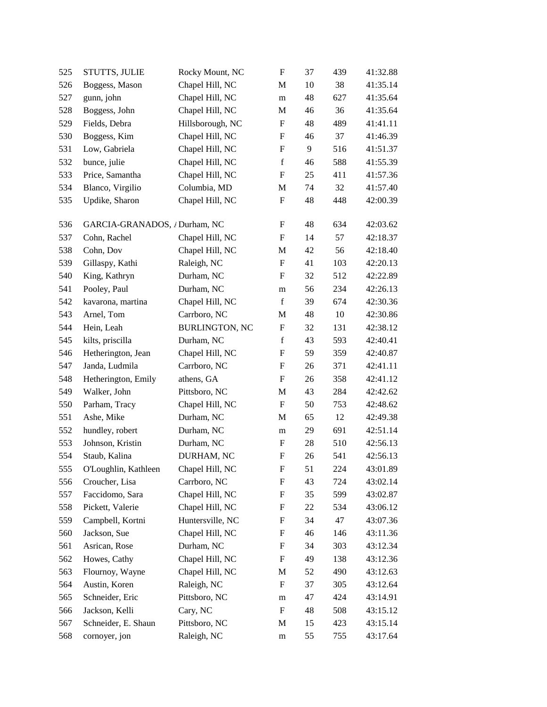| 525 | <b>STUTTS, JULIE</b>          | Rocky Mount, NC       | $\boldsymbol{\mathrm{F}}$ | 37 | 439 | 41:32.88 |
|-----|-------------------------------|-----------------------|---------------------------|----|-----|----------|
| 526 | Boggess, Mason                | Chapel Hill, NC       | M                         | 10 | 38  | 41:35.14 |
| 527 | gunn, john                    | Chapel Hill, NC       | m                         | 48 | 627 | 41:35.64 |
| 528 | Boggess, John                 | Chapel Hill, NC       | M                         | 46 | 36  | 41:35.64 |
| 529 | Fields, Debra                 | Hillsborough, NC      | F                         | 48 | 489 | 41:41.11 |
| 530 | Boggess, Kim                  | Chapel Hill, NC       | $\boldsymbol{\mathrm{F}}$ | 46 | 37  | 41:46.39 |
| 531 | Low, Gabriela                 | Chapel Hill, NC       | F                         | 9  | 516 | 41:51.37 |
| 532 | bunce, julie                  | Chapel Hill, NC       | $\mathbf f$               | 46 | 588 | 41:55.39 |
| 533 | Price, Samantha               | Chapel Hill, NC       | F                         | 25 | 411 | 41:57.36 |
| 534 | Blanco, Virgilio              | Columbia, MD          | M                         | 74 | 32  | 41:57.40 |
| 535 | Updike, Sharon                | Chapel Hill, NC       | $\boldsymbol{\mathrm{F}}$ | 48 | 448 | 42:00.39 |
| 536 | GARCIA-GRANADOS, / Durham, NC |                       | F                         | 48 | 634 | 42:03.62 |
| 537 | Cohn, Rachel                  | Chapel Hill, NC       | ${\bf F}$                 | 14 | 57  | 42:18.37 |
| 538 | Cohn, Dov                     | Chapel Hill, NC       | M                         | 42 | 56  | 42:18.40 |
| 539 | Gillaspy, Kathi               | Raleigh, NC           | F                         | 41 | 103 | 42:20.13 |
| 540 | King, Kathryn                 | Durham, NC            | F                         | 32 | 512 | 42:22.89 |
| 541 | Pooley, Paul                  | Durham, NC            | m                         | 56 | 234 | 42:26.13 |
| 542 | kavarona, martina             | Chapel Hill, NC       | $\mathbf f$               | 39 | 674 | 42:30.36 |
| 543 | Arnel, Tom                    | Carrboro, NC          | M                         | 48 | 10  | 42:30.86 |
| 544 | Hein, Leah                    | <b>BURLINGTON, NC</b> | F                         | 32 | 131 | 42:38.12 |
| 545 | kilts, priscilla              | Durham, NC            | $\mathbf f$               | 43 | 593 | 42:40.41 |
| 546 | Hetherington, Jean            | Chapel Hill, NC       | F                         | 59 | 359 | 42:40.87 |
| 547 | Janda, Ludmila                | Carrboro, NC          | $\boldsymbol{\mathrm{F}}$ | 26 | 371 | 42:41.11 |
| 548 | Hetherington, Emily           | athens, GA            | F                         | 26 | 358 | 42:41.12 |
| 549 | Walker, John                  | Pittsboro, NC         | M                         | 43 | 284 | 42:42.62 |
| 550 | Parham, Tracy                 | Chapel Hill, NC       | F                         | 50 | 753 | 42:48.62 |
| 551 | Ashe, Mike                    | Durham, NC            | M                         | 65 | 12  | 42:49.38 |
| 552 | hundley, robert               | Durham, NC            | m                         | 29 | 691 | 42:51.14 |
| 553 | Johnson, Kristin              | Durham, NC            | F                         | 28 | 510 | 42:56.13 |
| 554 | Staub, Kalina                 | DURHAM, NC            | F                         | 26 | 541 | 42:56.13 |
| 555 | O'Loughlin, Kathleen          | Chapel Hill, NC       | $\boldsymbol{\mathrm{F}}$ | 51 | 224 | 43:01.89 |
| 556 | Croucher, Lisa                | Carrboro, NC          | F                         | 43 | 724 | 43:02.14 |
| 557 | Faccidomo, Sara               | Chapel Hill, NC       | F                         | 35 | 599 | 43:02.87 |
| 558 | Pickett, Valerie              | Chapel Hill, NC       | F                         | 22 | 534 | 43:06.12 |
| 559 | Campbell, Kortni              | Huntersville, NC      | F                         | 34 | 47  | 43:07.36 |
| 560 | Jackson, Sue                  | Chapel Hill, NC       | F                         | 46 | 146 | 43:11.36 |
| 561 | Asrican, Rose                 | Durham, NC            | F                         | 34 | 303 | 43:12.34 |
| 562 | Howes, Cathy                  | Chapel Hill, NC       | F                         | 49 | 138 | 43:12.36 |
| 563 | Flournoy, Wayne               | Chapel Hill, NC       | M                         | 52 | 490 | 43:12.63 |
| 564 | Austin, Koren                 | Raleigh, NC           | F                         | 37 | 305 | 43:12.64 |
| 565 | Schneider, Eric               | Pittsboro, NC         | m                         | 47 | 424 | 43:14.91 |
| 566 | Jackson, Kelli                | Cary, NC              | F                         | 48 | 508 | 43:15.12 |
| 567 | Schneider, E. Shaun           | Pittsboro, NC         | M                         | 15 | 423 | 43:15.14 |
| 568 | cornoyer, jon                 | Raleigh, NC           | m                         | 55 | 755 | 43:17.64 |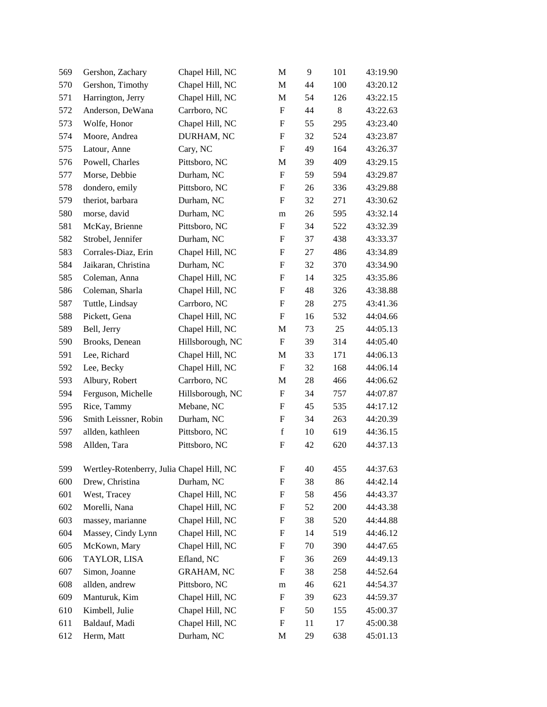| 569 | Gershon, Zachary                          | Chapel Hill, NC   | M                         | 9  | 101 | 43:19.90 |
|-----|-------------------------------------------|-------------------|---------------------------|----|-----|----------|
| 570 | Gershon, Timothy                          | Chapel Hill, NC   | M                         | 44 | 100 | 43:20.12 |
| 571 | Harrington, Jerry                         | Chapel Hill, NC   | M                         | 54 | 126 | 43:22.15 |
| 572 | Anderson, DeWana                          | Carrboro, NC      | F                         | 44 | 8   | 43:22.63 |
| 573 | Wolfe, Honor                              | Chapel Hill, NC   | F                         | 55 | 295 | 43:23.40 |
| 574 | Moore, Andrea                             | DURHAM, NC        | $\boldsymbol{\mathrm{F}}$ | 32 | 524 | 43:23.87 |
| 575 | Latour, Anne                              | Cary, NC          | F                         | 49 | 164 | 43:26.37 |
| 576 | Powell, Charles                           | Pittsboro, NC     | M                         | 39 | 409 | 43:29.15 |
| 577 | Morse, Debbie                             | Durham, NC        | ${\bf F}$                 | 59 | 594 | 43:29.87 |
| 578 | dondero, emily                            | Pittsboro, NC     | $\boldsymbol{\mathrm{F}}$ | 26 | 336 | 43:29.88 |
| 579 | theriot, barbara                          | Durham, NC        | F                         | 32 | 271 | 43:30.62 |
| 580 | morse, david                              | Durham, NC        | m                         | 26 | 595 | 43:32.14 |
| 581 | McKay, Brienne                            | Pittsboro, NC     | F                         | 34 | 522 | 43:32.39 |
| 582 | Strobel, Jennifer                         | Durham, NC        | F                         | 37 | 438 | 43:33.37 |
| 583 | Corrales-Diaz, Erin                       | Chapel Hill, NC   | F                         | 27 | 486 | 43:34.89 |
| 584 | Jaikaran, Christina                       | Durham, NC        | F                         | 32 | 370 | 43:34.90 |
| 585 | Coleman, Anna                             | Chapel Hill, NC   | F                         | 14 | 325 | 43:35.86 |
| 586 | Coleman, Sharla                           | Chapel Hill, NC   | F                         | 48 | 326 | 43:38.88 |
| 587 | Tuttle, Lindsay                           | Carrboro, NC      | F                         | 28 | 275 | 43:41.36 |
| 588 | Pickett, Gena                             | Chapel Hill, NC   | F                         | 16 | 532 | 44:04.66 |
| 589 | Bell, Jerry                               | Chapel Hill, NC   | M                         | 73 | 25  | 44:05.13 |
| 590 | Brooks, Denean                            | Hillsborough, NC  | F                         | 39 | 314 | 44:05.40 |
| 591 | Lee, Richard                              | Chapel Hill, NC   | M                         | 33 | 171 | 44:06.13 |
| 592 | Lee, Becky                                | Chapel Hill, NC   | F                         | 32 | 168 | 44:06.14 |
| 593 | Albury, Robert                            | Carrboro, NC      | M                         | 28 | 466 | 44:06.62 |
| 594 | Ferguson, Michelle                        | Hillsborough, NC  | F                         | 34 | 757 | 44:07.87 |
| 595 | Rice, Tammy                               | Mebane, NC        | F                         | 45 | 535 | 44:17.12 |
| 596 | Smith Leissner, Robin                     | Durham, NC        | F                         | 34 | 263 | 44:20.39 |
| 597 | allden, kathleen                          | Pittsboro, NC     | $\mathbf f$               | 10 | 619 | 44:36.15 |
| 598 | Allden, Tara                              | Pittsboro, NC     | F                         | 42 | 620 | 44:37.13 |
| 599 | Wertley-Rotenberry, Julia Chapel Hill, NC |                   | $\boldsymbol{\mathrm{F}}$ | 40 | 455 | 44:37.63 |
| 600 | Drew, Christina                           | Durham, NC        | F                         | 38 | 86  | 44:42.14 |
| 601 | West, Tracey                              | Chapel Hill, NC   | $\boldsymbol{F}$          | 58 | 456 | 44:43.37 |
| 602 | Morelli, Nana                             | Chapel Hill, NC   | F                         | 52 | 200 | 44:43.38 |
| 603 | massey, marianne                          | Chapel Hill, NC   | $\boldsymbol{\mathrm{F}}$ | 38 | 520 | 44:44.88 |
| 604 | Massey, Cindy Lynn                        | Chapel Hill, NC   | $\boldsymbol{F}$          | 14 | 519 | 44:46.12 |
| 605 | McKown, Mary                              | Chapel Hill, NC   | $\boldsymbol{F}$          | 70 | 390 | 44:47.65 |
| 606 | TAYLOR, LISA                              | Efland, NC        | $\boldsymbol{F}$          | 36 | 269 | 44:49.13 |
| 607 | Simon, Joanne                             | <b>GRAHAM, NC</b> | F                         | 38 | 258 | 44:52.64 |
| 608 | allden, andrew                            | Pittsboro, NC     | m                         | 46 | 621 | 44:54.37 |
| 609 | Manturuk, Kim                             | Chapel Hill, NC   | F                         | 39 | 623 | 44:59.37 |
| 610 | Kimbell, Julie                            | Chapel Hill, NC   | F                         | 50 | 155 | 45:00.37 |
| 611 | Baldauf, Madi                             | Chapel Hill, NC   | $\boldsymbol{F}$          | 11 | 17  | 45:00.38 |
| 612 | Herm, Matt                                | Durham, NC        | M                         | 29 | 638 | 45:01.13 |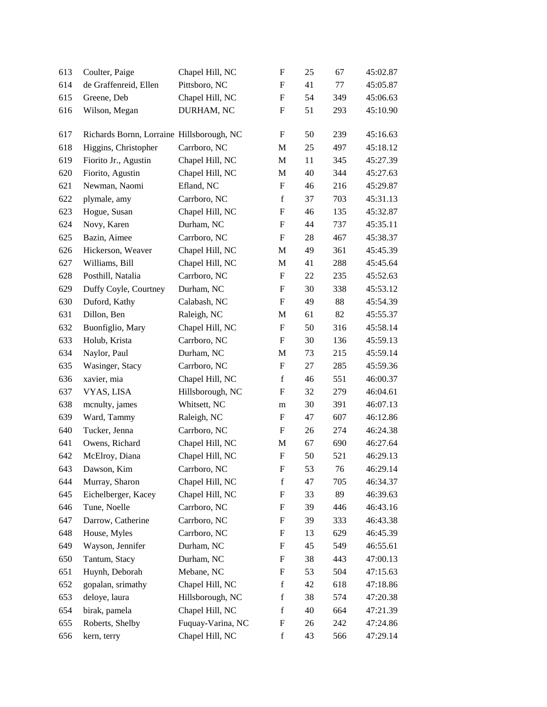| 613 | Coulter, Paige                            | Chapel Hill, NC   | F                         | 25 | 67  | 45:02.87 |
|-----|-------------------------------------------|-------------------|---------------------------|----|-----|----------|
| 614 | de Graffenreid, Ellen                     | Pittsboro, NC     | F                         | 41 | 77  | 45:05.87 |
| 615 | Greene, Deb                               | Chapel Hill, NC   | $\boldsymbol{\mathrm{F}}$ | 54 | 349 | 45:06.63 |
| 616 | Wilson, Megan                             | DURHAM, NC        | F                         | 51 | 293 | 45:10.90 |
| 617 | Richards Bornn, Lorraine Hillsborough, NC |                   | ${\bf F}$                 | 50 | 239 | 45:16.63 |
| 618 | Higgins, Christopher                      | Carrboro, NC      | M                         | 25 | 497 | 45:18.12 |
| 619 | Fiorito Jr., Agustin                      | Chapel Hill, NC   | M                         | 11 | 345 | 45:27.39 |
| 620 | Fiorito, Agustin                          | Chapel Hill, NC   | M                         | 40 | 344 | 45:27.63 |
| 621 | Newman, Naomi                             | Efland, NC        | F                         | 46 | 216 | 45:29.87 |
| 622 | plymale, amy                              | Carrboro, NC      | $\mathbf f$               | 37 | 703 | 45:31.13 |
| 623 | Hogue, Susan                              | Chapel Hill, NC   | F                         | 46 | 135 | 45:32.87 |
| 624 | Novy, Karen                               | Durham, NC        | F                         | 44 | 737 | 45:35.11 |
| 625 | Bazin, Aimee                              | Carrboro, NC      | ${\bf F}$                 | 28 | 467 | 45:38.37 |
| 626 | Hickerson, Weaver                         | Chapel Hill, NC   | M                         | 49 | 361 | 45:45.39 |
| 627 | Williams, Bill                            | Chapel Hill, NC   | M                         | 41 | 288 | 45:45.64 |
| 628 | Posthill, Natalia                         | Carrboro, NC      | F                         | 22 | 235 | 45:52.63 |
| 629 | Duffy Coyle, Courtney                     | Durham, NC        | F                         | 30 | 338 | 45:53.12 |
| 630 | Duford, Kathy                             | Calabash, NC      | ${\bf F}$                 | 49 | 88  | 45:54.39 |
| 631 | Dillon, Ben                               | Raleigh, NC       | M                         | 61 | 82  | 45:55.37 |
| 632 | Buonfiglio, Mary                          | Chapel Hill, NC   | ${\bf F}$                 | 50 | 316 | 45:58.14 |
| 633 | Holub, Krista                             | Carrboro, NC      | F                         | 30 | 136 | 45:59.13 |
| 634 | Naylor, Paul                              | Durham, NC        | M                         | 73 | 215 | 45:59.14 |
| 635 | Wasinger, Stacy                           | Carrboro, NC      | ${\bf F}$                 | 27 | 285 | 45:59.36 |
| 636 | xavier, mia                               | Chapel Hill, NC   | $\mathbf f$               | 46 | 551 | 46:00.37 |
| 637 | VYAS, LISA                                | Hillsborough, NC  | $\boldsymbol{\mathrm{F}}$ | 32 | 279 | 46:04.61 |
| 638 | menulty, james                            | Whitsett, NC      | m                         | 30 | 391 | 46:07.13 |
| 639 | Ward, Tammy                               | Raleigh, NC       | F                         | 47 | 607 | 46:12.86 |
| 640 | Tucker, Jenna                             | Carrboro, NC      | $\boldsymbol{\mathrm{F}}$ | 26 | 274 | 46:24.38 |
| 641 | Owens, Richard                            | Chapel Hill, NC   | M                         | 67 | 690 | 46:27.64 |
| 642 | McElroy, Diana                            | Chapel Hill, NC   | $\mathbf F$               | 50 | 521 | 46:29.13 |
| 643 | Dawson, Kim                               | Carrboro, NC      | ${\bf F}$                 | 53 | 76  | 46:29.14 |
| 644 | Murray, Sharon                            | Chapel Hill, NC   | $\mathbf f$               | 47 | 705 | 46:34.37 |
| 645 | Eichelberger, Kacey                       | Chapel Hill, NC   | $\boldsymbol{\mathrm{F}}$ | 33 | 89  | 46:39.63 |
| 646 | Tune, Noelle                              | Carrboro, NC      | F                         | 39 | 446 | 46:43.16 |
| 647 | Darrow, Catherine                         | Carrboro, NC      | F                         | 39 | 333 | 46:43.38 |
| 648 | House, Myles                              | Carrboro, NC      | F                         | 13 | 629 | 46:45.39 |
| 649 | Wayson, Jennifer                          | Durham, NC        | F                         | 45 | 549 | 46:55.61 |
| 650 | Tantum, Stacy                             | Durham, NC        | F                         | 38 | 443 | 47:00.13 |
| 651 | Huynh, Deborah                            | Mebane, NC        | F                         | 53 | 504 | 47:15.63 |
| 652 | gopalan, srimathy                         | Chapel Hill, NC   | f                         | 42 | 618 | 47:18.86 |
| 653 | deloye, laura                             | Hillsborough, NC  | f                         | 38 | 574 | 47:20.38 |
| 654 | birak, pamela                             | Chapel Hill, NC   | $\mathbf f$               | 40 | 664 | 47:21.39 |
| 655 | Roberts, Shelby                           | Fuquay-Varina, NC | $\boldsymbol{\mathrm{F}}$ | 26 | 242 | 47:24.86 |
| 656 | kern, terry                               | Chapel Hill, NC   | $\mathbf f$               | 43 | 566 | 47:29.14 |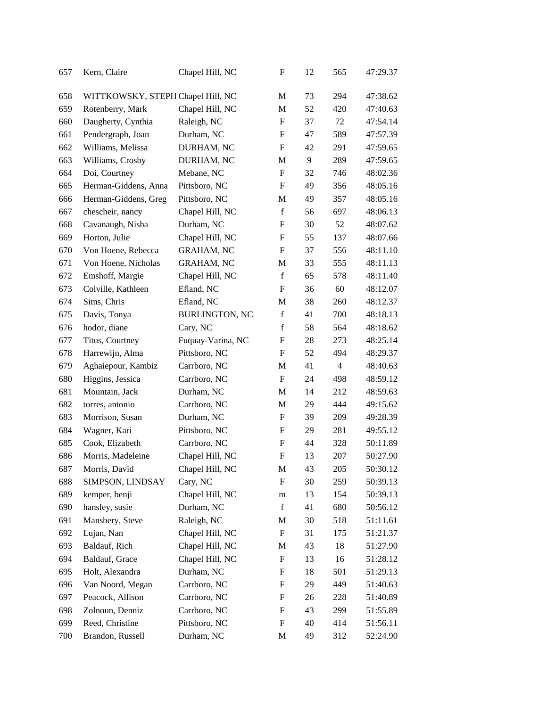| 657 | Kern, Claire                      | Chapel Hill, NC       | F                         | 12 | 565            | 47:29.37 |
|-----|-----------------------------------|-----------------------|---------------------------|----|----------------|----------|
| 658 | WITTKOWSKY, STEPH Chapel Hill, NC |                       | M                         | 73 | 294            | 47:38.62 |
| 659 | Rotenberry, Mark                  | Chapel Hill, NC       | M                         | 52 | 420            | 47:40.63 |
| 660 | Daugherty, Cynthia                | Raleigh, NC           | F                         | 37 | 72             | 47:54.14 |
| 661 | Pendergraph, Joan                 | Durham, NC            | F                         | 47 | 589            | 47:57.39 |
| 662 | Williams, Melissa                 | DURHAM, NC            | F                         | 42 | 291            | 47:59.65 |
| 663 | Williams, Crosby                  | DURHAM, NC            | M                         | 9  | 289            | 47:59.65 |
| 664 | Doi, Courtney                     | Mebane, NC            | F                         | 32 | 746            | 48:02.36 |
| 665 | Herman-Giddens, Anna              | Pittsboro, NC         | F                         | 49 | 356            | 48:05.16 |
| 666 | Herman-Giddens, Greg              | Pittsboro, NC         | M                         | 49 | 357            | 48:05.16 |
| 667 | chescheir, nancy                  | Chapel Hill, NC       | $\mathbf f$               | 56 | 697            | 48:06.13 |
| 668 | Cavanaugh, Nisha                  | Durham, NC            | F                         | 30 | 52             | 48:07.62 |
| 669 | Horton, Julie                     | Chapel Hill, NC       | F                         | 55 | 137            | 48:07.66 |
| 670 | Von Hoene, Rebecca                | <b>GRAHAM, NC</b>     | F                         | 37 | 556            | 48:11.10 |
| 671 | Von Hoene, Nicholas               | <b>GRAHAM, NC</b>     | M                         | 33 | 555            | 48:11.13 |
| 672 | Emshoff, Margie                   | Chapel Hill, NC       | $\mathbf f$               | 65 | 578            | 48:11.40 |
| 673 | Colville, Kathleen                | Efland, NC            | $\boldsymbol{\mathrm{F}}$ | 36 | 60             | 48:12.07 |
| 674 | Sims, Chris                       | Efland, NC            | M                         | 38 | 260            | 48:12.37 |
| 675 | Davis, Tonya                      | <b>BURLINGTON, NC</b> | $\mathbf f$               | 41 | 700            | 48:18.13 |
| 676 | hodor, diane                      | Cary, NC              | $\mathbf f$               | 58 | 564            | 48:18.62 |
| 677 | Titus, Courtney                   | Fuquay-Varina, NC     | $\boldsymbol{\mathrm{F}}$ | 28 | 273            | 48:25.14 |
| 678 | Harrewijn, Alma                   | Pittsboro, NC         | F                         | 52 | 494            | 48:29.37 |
| 679 | Aghaiepour, Kambiz                | Carrboro, NC          | M                         | 41 | $\overline{4}$ | 48:40.63 |
| 680 | Higgins, Jessica                  | Carrboro, NC          | $\boldsymbol{\mathrm{F}}$ | 24 | 498            | 48:59.12 |
| 681 | Mountain, Jack                    | Durham, NC            | M                         | 14 | 212            | 48:59.63 |
| 682 | torres, antonio                   | Carrboro, NC          | M                         | 29 | 444            | 49:15.62 |
| 683 | Morrison, Susan                   | Durham, NC            | F                         | 39 | 209            | 49:28.39 |
| 684 | Wagner, Kari                      | Pittsboro, NC         | F                         | 29 | 281            | 49:55.12 |
| 685 | Cook, Elizabeth                   | Carrboro, NC          | F                         | 44 | 328            | 50:11.89 |
| 686 | Morris, Madeleine                 | Chapel Hill, NC       | F                         | 13 | 207            | 50:27.90 |
| 687 | Morris, David                     | Chapel Hill, NC       | M                         | 43 | 205            | 50:30.12 |
| 688 | SIMPSON, LINDSAY                  | Cary, NC              | F                         | 30 | 259            | 50:39.13 |
| 689 | kemper, benji                     | Chapel Hill, NC       | ${\rm m}$                 | 13 | 154            | 50:39.13 |
| 690 | hansley, susie                    | Durham, NC            | $\mathbf f$               | 41 | 680            | 50:56.12 |
| 691 | Mansbery, Steve                   | Raleigh, NC           | M                         | 30 | 518            | 51:11.61 |
| 692 | Lujan, Nan                        | Chapel Hill, NC       | F                         | 31 | 175            | 51:21.37 |
| 693 | Baldauf, Rich                     | Chapel Hill, NC       | M                         | 43 | 18             | 51:27.90 |
| 694 | Baldauf, Grace                    | Chapel Hill, NC       | F                         | 13 | 16             | 51:28.12 |
| 695 | Holt, Alexandra                   | Durham, NC            | F                         | 18 | 501            | 51:29.13 |
| 696 | Van Noord, Megan                  | Carrboro, NC          | F                         | 29 | 449            | 51:40.63 |
| 697 | Peacock, Allison                  | Carrboro, NC          | F                         | 26 | 228            | 51:40.89 |
| 698 | Zolnoun, Denniz                   | Carrboro, NC          | F                         | 43 | 299            | 51:55.89 |
| 699 | Reed, Christine                   | Pittsboro, NC         | F                         | 40 | 414            | 51:56.11 |
| 700 | Brandon, Russell                  | Durham, NC            | M                         | 49 | 312            | 52:24.90 |